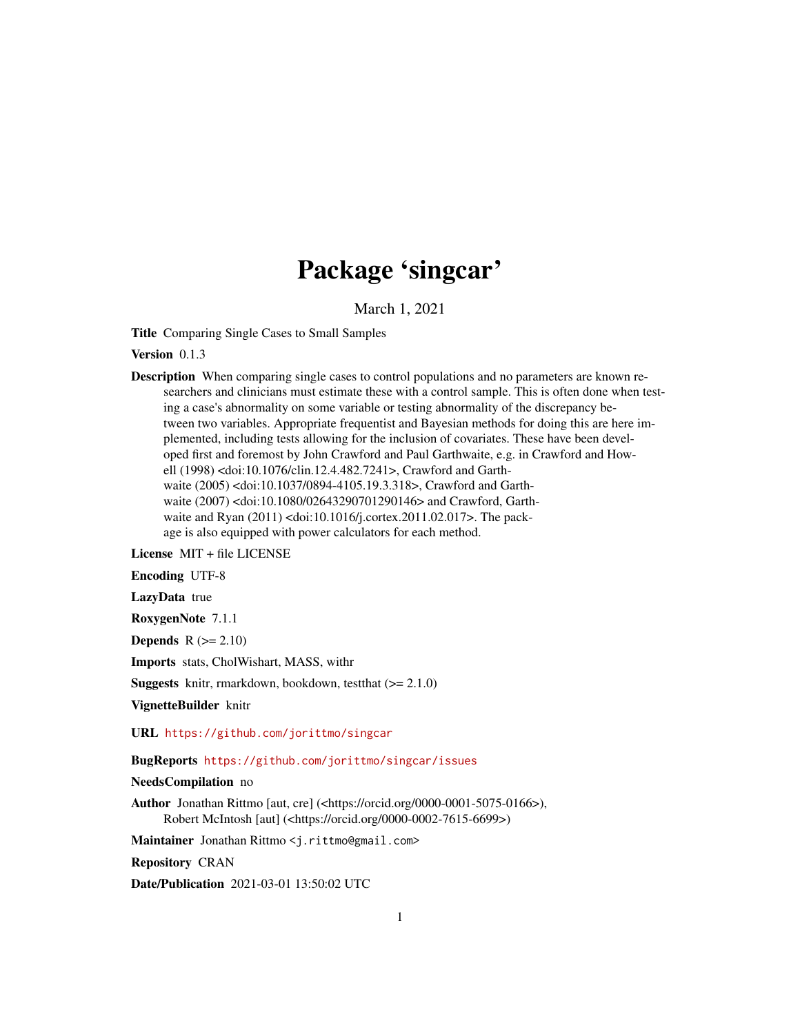## Package 'singcar'

March 1, 2021

Title Comparing Single Cases to Small Samples

Version 0.1.3

Description When comparing single cases to control populations and no parameters are known researchers and clinicians must estimate these with a control sample. This is often done when testing a case's abnormality on some variable or testing abnormality of the discrepancy between two variables. Appropriate frequentist and Bayesian methods for doing this are here implemented, including tests allowing for the inclusion of covariates. These have been developed first and foremost by John Crawford and Paul Garthwaite, e.g. in Crawford and Howell (1998) <doi:10.1076/clin.12.4.482.7241>, Crawford and Garthwaite (2005) <doi:10.1037/0894-4105.19.3.318>, Crawford and Garthwaite (2007) <doi:10.1080/02643290701290146> and Crawford, Garthwaite and Ryan (2011) <doi:10.1016/j.cortex.2011.02.017>. The package is also equipped with power calculators for each method.

License MIT + file LICENSE

Encoding UTF-8

LazyData true

RoxygenNote 7.1.1

Depends  $R (= 2.10)$ 

Imports stats, CholWishart, MASS, withr

**Suggests** knitr, rmarkdown, bookdown, test that  $(>= 2.1.0)$ 

VignetteBuilder knitr

URL <https://github.com/jorittmo/singcar>

BugReports <https://github.com/jorittmo/singcar/issues>

NeedsCompilation no

Author Jonathan Rittmo [aut, cre] (<https://orcid.org/0000-0001-5075-0166>), Robert McIntosh [aut] (<https://orcid.org/0000-0002-7615-6699>)

Maintainer Jonathan Rittmo <j.rittmo@gmail.com>

Repository CRAN

Date/Publication 2021-03-01 13:50:02 UTC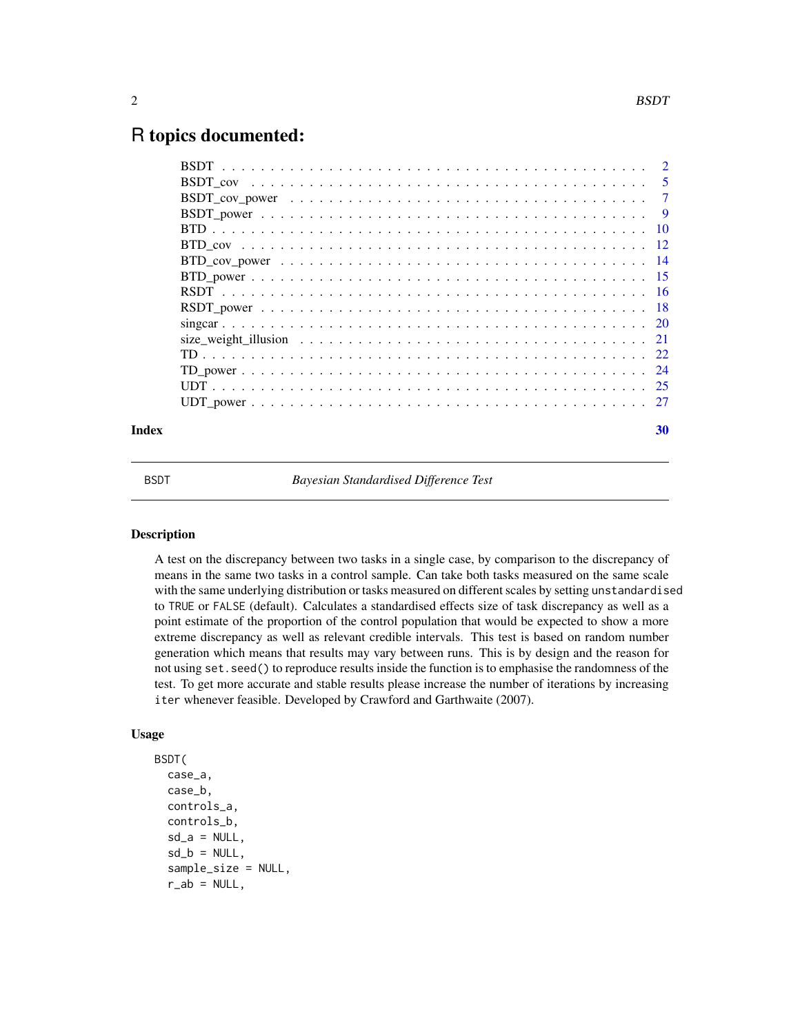### <span id="page-1-0"></span>R topics documented:

| Index | 30 |
|-------|----|
|       |    |
|       |    |
|       |    |
|       |    |
|       |    |
|       |    |
|       |    |
|       |    |
|       |    |
|       |    |
|       |    |
|       |    |
|       |    |
|       |    |
|       |    |
|       |    |

<span id="page-1-1"></span>

BSDT *Bayesian Standardised Difference Test*

### Description

A test on the discrepancy between two tasks in a single case, by comparison to the discrepancy of means in the same two tasks in a control sample. Can take both tasks measured on the same scale with the same underlying distribution or tasks measured on different scales by setting unstandardised to TRUE or FALSE (default). Calculates a standardised effects size of task discrepancy as well as a point estimate of the proportion of the control population that would be expected to show a more extreme discrepancy as well as relevant credible intervals. This test is based on random number generation which means that results may vary between runs. This is by design and the reason for not using set.seed() to reproduce results inside the function is to emphasise the randomness of the test. To get more accurate and stable results please increase the number of iterations by increasing iter whenever feasible. Developed by Crawford and Garthwaite (2007).

```
BSDT(
  case_a,
  case_b,
  controls_a,
  controls_b,
  sd_a = NULL,
  sd_b = NULL,sample_size = NULL,
  r_ab = NULL,
```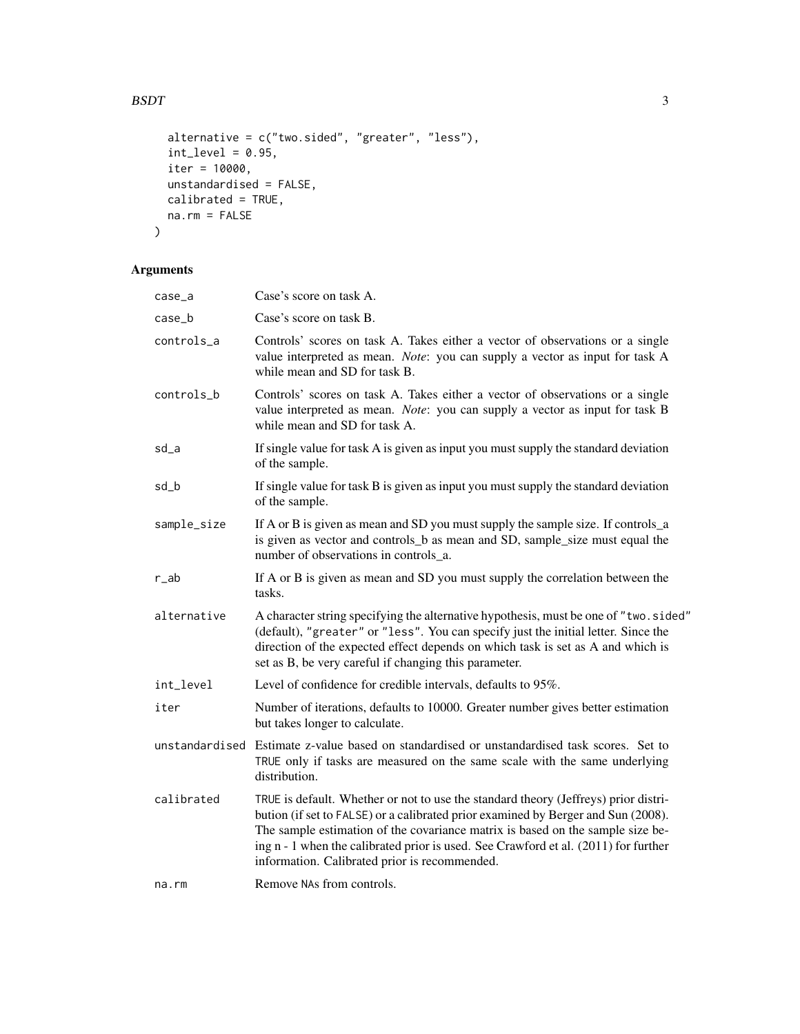### $BSDT$  3

```
alternative = c("two.sided", "greater", "less"),
 int\_level = 0.95,
 iter = 10000,
 unstandardised = FALSE,
 calibrated = TRUE,
 na.rm = FALSE
\mathcal{L}
```
### Arguments

| case_a         | Case's score on task A.                                                                                                                                                                                                                                                                                                                                                                            |
|----------------|----------------------------------------------------------------------------------------------------------------------------------------------------------------------------------------------------------------------------------------------------------------------------------------------------------------------------------------------------------------------------------------------------|
| case_b         | Case's score on task B.                                                                                                                                                                                                                                                                                                                                                                            |
| controls_a     | Controls' scores on task A. Takes either a vector of observations or a single<br>value interpreted as mean. Note: you can supply a vector as input for task A<br>while mean and SD for task B.                                                                                                                                                                                                     |
| controls_b     | Controls' scores on task A. Takes either a vector of observations or a single<br>value interpreted as mean. Note: you can supply a vector as input for task B<br>while mean and SD for task A.                                                                                                                                                                                                     |
| sd_a           | If single value for task A is given as input you must supply the standard deviation<br>of the sample.                                                                                                                                                                                                                                                                                              |
| sd_b           | If single value for task B is given as input you must supply the standard deviation<br>of the sample.                                                                                                                                                                                                                                                                                              |
| sample_size    | If A or B is given as mean and SD you must supply the sample size. If controls_a<br>is given as vector and controls_b as mean and SD, sample_size must equal the<br>number of observations in controls_a.                                                                                                                                                                                          |
| r_ab           | If A or B is given as mean and SD you must supply the correlation between the<br>tasks.                                                                                                                                                                                                                                                                                                            |
| alternative    | A character string specifying the alternative hypothesis, must be one of "two.sided"<br>(default), "greater" or "less". You can specify just the initial letter. Since the<br>direction of the expected effect depends on which task is set as A and which is<br>set as B, be very careful if changing this parameter.                                                                             |
| int_level      | Level of confidence for credible intervals, defaults to 95%.                                                                                                                                                                                                                                                                                                                                       |
| iter           | Number of iterations, defaults to 10000. Greater number gives better estimation<br>but takes longer to calculate.                                                                                                                                                                                                                                                                                  |
| unstandardised | Estimate z-value based on standardised or unstandardised task scores. Set to<br>TRUE only if tasks are measured on the same scale with the same underlying<br>distribution.                                                                                                                                                                                                                        |
| calibrated     | TRUE is default. Whether or not to use the standard theory (Jeffreys) prior distri-<br>bution (if set to FALSE) or a calibrated prior examined by Berger and Sun (2008).<br>The sample estimation of the covariance matrix is based on the sample size be-<br>ing n - 1 when the calibrated prior is used. See Crawford et al. (2011) for further<br>information. Calibrated prior is recommended. |
| na.rm          | Remove NAs from controls.                                                                                                                                                                                                                                                                                                                                                                          |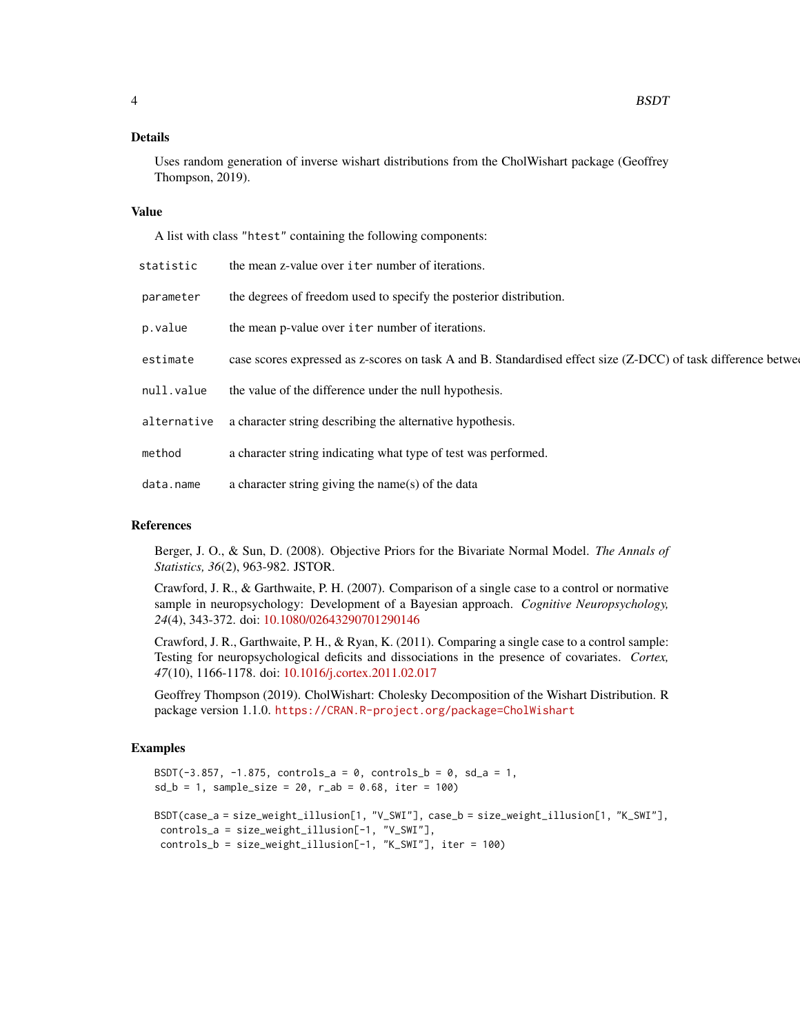#### Details

Uses random generation of inverse wishart distributions from the CholWishart package (Geoffrey Thompson, 2019).

#### Value

A list with class "htest" containing the following components:

| statistic   | the mean z-value over iter number of iterations.                                                               |
|-------------|----------------------------------------------------------------------------------------------------------------|
| parameter   | the degrees of freedom used to specify the posterior distribution.                                             |
| p.value     | the mean p-value over iter number of iterations.                                                               |
| estimate    | case scores expressed as z-scores on task A and B. Standardised effect size (Z-DCC) of task difference between |
| null.value  | the value of the difference under the null hypothesis.                                                         |
| alternative | a character string describing the alternative hypothesis.                                                      |
| method      | a character string indicating what type of test was performed.                                                 |
| data.name   | a character string giving the name(s) of the data                                                              |
|             |                                                                                                                |

### References

Berger, J. O., & Sun, D. (2008). Objective Priors for the Bivariate Normal Model. *The Annals of Statistics, 36*(2), 963-982. JSTOR.

Crawford, J. R., & Garthwaite, P. H. (2007). Comparison of a single case to a control or normative sample in neuropsychology: Development of a Bayesian approach. *Cognitive Neuropsychology, 24*(4), 343-372. doi: [10.1080/02643290701290146](https://doi.org/10.1080/02643290701290146)

Crawford, J. R., Garthwaite, P. H., & Ryan, K. (2011). Comparing a single case to a control sample: Testing for neuropsychological deficits and dissociations in the presence of covariates. *Cortex, 47*(10), 1166-1178. doi: [10.1016/j.cortex.2011.02.017](https://doi.org/10.1016/j.cortex.2011.02.017)

Geoffrey Thompson (2019). CholWishart: Cholesky Decomposition of the Wishart Distribution. R package version 1.1.0. <https://CRAN.R-project.org/package=CholWishart>

### Examples

```
BSDT(-3.857, -1.875, controls_a = 0, controls_b = 0, sd_a = 1,
sd_b = 1, sample_size = 20, r_ab = 0.68, iter = 100)
BSDT(case_a = size_weight_illusion[1, "V_SWI"], case_b = size_weight_illusion[1, "K_SWI"],
controls_a = size_weight_illusion[-1, "V_SWI"],
controls_b = size_weight_illusion[-1, "K_SWI"], iter = 100)
```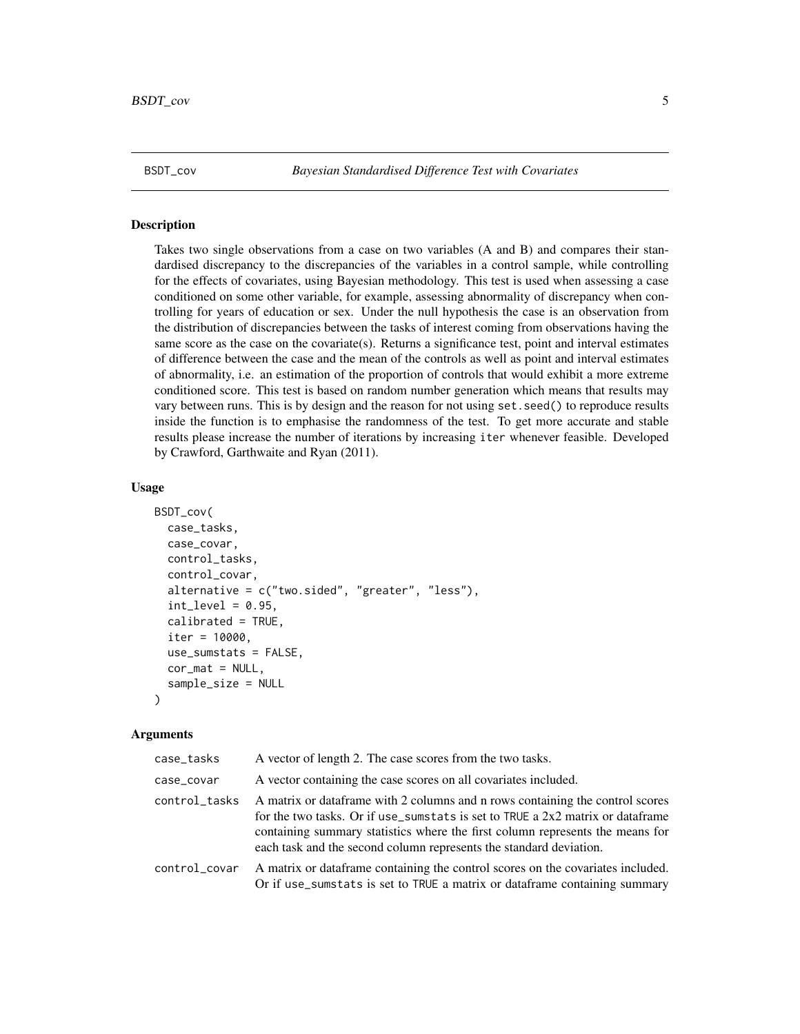<span id="page-4-1"></span><span id="page-4-0"></span>

#### Description

Takes two single observations from a case on two variables (A and B) and compares their standardised discrepancy to the discrepancies of the variables in a control sample, while controlling for the effects of covariates, using Bayesian methodology. This test is used when assessing a case conditioned on some other variable, for example, assessing abnormality of discrepancy when controlling for years of education or sex. Under the null hypothesis the case is an observation from the distribution of discrepancies between the tasks of interest coming from observations having the same score as the case on the covariate(s). Returns a significance test, point and interval estimates of difference between the case and the mean of the controls as well as point and interval estimates of abnormality, i.e. an estimation of the proportion of controls that would exhibit a more extreme conditioned score. This test is based on random number generation which means that results may vary between runs. This is by design and the reason for not using set.seed() to reproduce results inside the function is to emphasise the randomness of the test. To get more accurate and stable results please increase the number of iterations by increasing iter whenever feasible. Developed by Crawford, Garthwaite and Ryan (2011).

### Usage

```
BSDT_cov(
  case_tasks,
  case_covar,
  control_tasks,
  control_covar,
  alternative = c("two.sided", "greater", "less"),
  int\_level = 0.95,
  calibrated = TRUE,
  iter = 10000,use_sumstats = FALSE,
  cor\_mat = NULL,sample_size = NULL
)
```
### Arguments

| case_tasks    | A vector of length 2. The case scores from the two tasks.                                                                                                                                                                                                                                                               |
|---------------|-------------------------------------------------------------------------------------------------------------------------------------------------------------------------------------------------------------------------------------------------------------------------------------------------------------------------|
| case_covar    | A vector containing the case scores on all covariates included.                                                                                                                                                                                                                                                         |
| control_tasks | A matrix or data frame with 2 columns and n rows containing the control scores<br>for the two tasks. Or if use_sumstats is set to TRUE a 2x2 matrix or dataframe<br>containing summary statistics where the first column represents the means for<br>each task and the second column represents the standard deviation. |
| control_covar | A matrix or data frame containing the control scores on the covariates included.<br>Or if use_sumstats is set to TRUE a matrix or dataframe containing summary                                                                                                                                                          |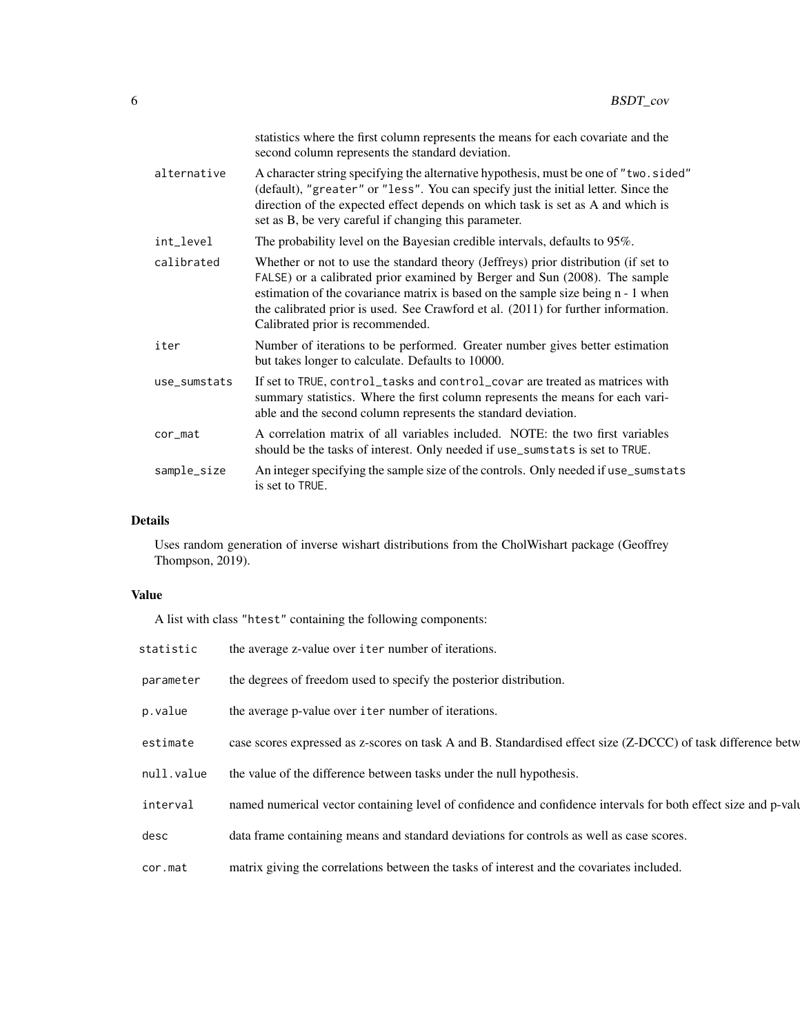|              | statistics where the first column represents the means for each covariate and the<br>second column represents the standard deviation.                                                                                                                                                                                                                                         |
|--------------|-------------------------------------------------------------------------------------------------------------------------------------------------------------------------------------------------------------------------------------------------------------------------------------------------------------------------------------------------------------------------------|
| alternative  | A character string specifying the alternative hypothesis, must be one of "two.sided"<br>(default), "greater" or "less". You can specify just the initial letter. Since the<br>direction of the expected effect depends on which task is set as A and which is<br>set as B, be very careful if changing this parameter.                                                        |
| int_level    | The probability level on the Bayesian credible intervals, defaults to 95%.                                                                                                                                                                                                                                                                                                    |
| calibrated   | Whether or not to use the standard theory (Jeffreys) prior distribution (if set to<br>FALSE) or a calibrated prior examined by Berger and Sun (2008). The sample<br>estimation of the covariance matrix is based on the sample size being n - 1 when<br>the calibrated prior is used. See Crawford et al. (2011) for further information.<br>Calibrated prior is recommended. |
| iter         | Number of iterations to be performed. Greater number gives better estimation<br>but takes longer to calculate. Defaults to 10000.                                                                                                                                                                                                                                             |
| use_sumstats | If set to TRUE, control_tasks and control_covar are treated as matrices with<br>summary statistics. Where the first column represents the means for each vari-<br>able and the second column represents the standard deviation.                                                                                                                                               |
| cor_mat      | A correlation matrix of all variables included. NOTE: the two first variables<br>should be the tasks of interest. Only needed if use_sumstats is set to TRUE.                                                                                                                                                                                                                 |
| sample_size  | An integer specifying the sample size of the controls. Only needed if use_sumstats<br>is set to TRUE.                                                                                                                                                                                                                                                                         |

### Details

Uses random generation of inverse wishart distributions from the CholWishart package (Geoffrey Thompson, 2019).

### Value

A list with class "htest" containing the following components:

| statistic  | the average z-value over iter number of iterations.                                                            |
|------------|----------------------------------------------------------------------------------------------------------------|
| parameter  | the degrees of freedom used to specify the posterior distribution.                                             |
| p.value    | the average p-value over iter number of iterations.                                                            |
| estimate   | case scores expressed as z-scores on task A and B. Standardised effect size (Z-DCCC) of task difference betw   |
| null.value | the value of the difference between tasks under the null hypothesis.                                           |
| interval   | named numerical vector containing level of confidence and confidence intervals for both effect size and p-valu |
| desc       | data frame containing means and standard deviations for controls as well as case scores.                       |
| cor.mat    | matrix giving the correlations between the tasks of interest and the covariates included.                      |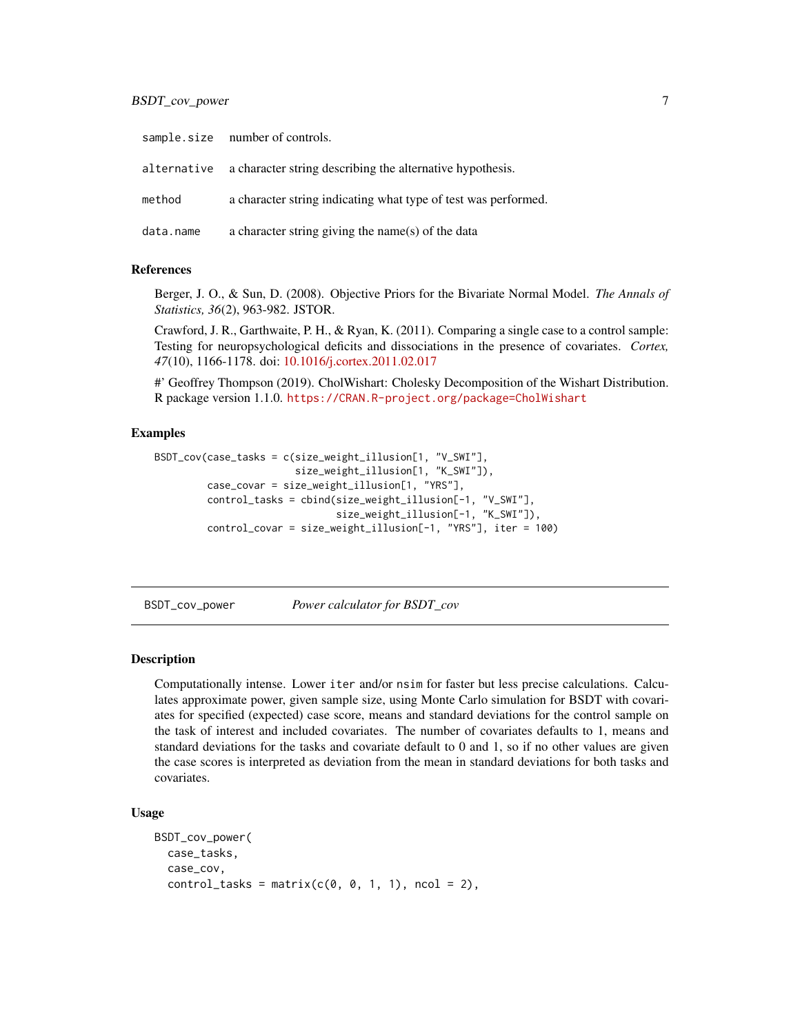### <span id="page-6-0"></span>BSDT\_cov\_power 7

|           | sample.size number of controls.                                       |
|-----------|-----------------------------------------------------------------------|
|           | alternative a character string describing the alternative hypothesis. |
| method    | a character string indicating what type of test was performed.        |
| data.name | a character string giving the name(s) of the data                     |

### References

Berger, J. O., & Sun, D. (2008). Objective Priors for the Bivariate Normal Model. *The Annals of Statistics, 36*(2), 963-982. JSTOR.

Crawford, J. R., Garthwaite, P. H., & Ryan, K. (2011). Comparing a single case to a control sample: Testing for neuropsychological deficits and dissociations in the presence of covariates. *Cortex, 47*(10), 1166-1178. doi: [10.1016/j.cortex.2011.02.017](https://doi.org/10.1016/j.cortex.2011.02.017)

#' Geoffrey Thompson (2019). CholWishart: Cholesky Decomposition of the Wishart Distribution. R package version 1.1.0. <https://CRAN.R-project.org/package=CholWishart>

#### Examples

```
BSDT_cov(case_tasks = c(size_weight_illusion[1, "V_SWI"],
                        size_weight_illusion[1, "K_SWI"]),
         case_covar = size_weight_illusion[1, "YRS"],
         control_tasks = cbind(size_weight_illusion[-1, "V_SWI"],
                               size_weight_illusion[-1, "K_SWI"]),
         control_covar = size_weight_illusion[-1, "YRS"], iter = 100)
```
<span id="page-6-1"></span>BSDT\_cov\_power *Power calculator for BSDT\_cov*

#### **Description**

Computationally intense. Lower iter and/or nsim for faster but less precise calculations. Calculates approximate power, given sample size, using Monte Carlo simulation for BSDT with covariates for specified (expected) case score, means and standard deviations for the control sample on the task of interest and included covariates. The number of covariates defaults to 1, means and standard deviations for the tasks and covariate default to 0 and 1, so if no other values are given the case scores is interpreted as deviation from the mean in standard deviations for both tasks and covariates.

```
BSDT_cov_power(
 case_tasks,
  case_cov,
  control_tasks = matrix(c(0, 0, 1, 1), ncol = 2),
```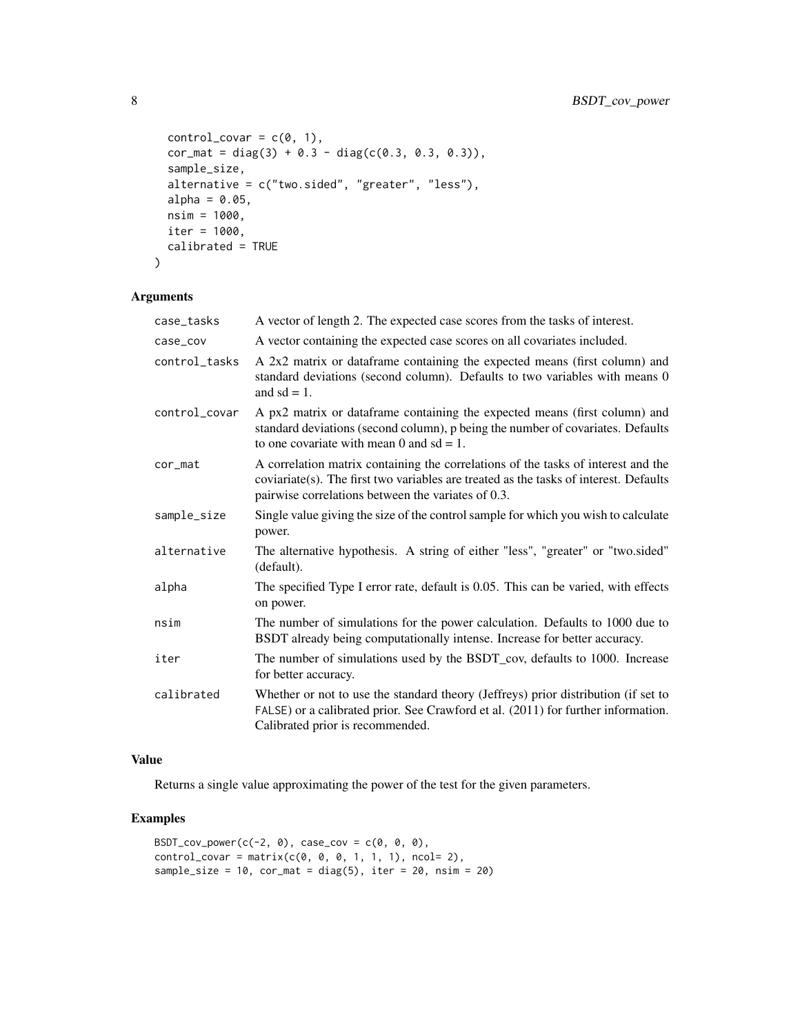```
control\_covar = c(\emptyset, 1),cor_mat = diag(3) + 0.3 - diag(c(0.3, 0.3, 0.3)),sample_size,
 alternative = c("two.sided", "greater", "less"),
 alpha = 0.05,
 nsim = 1000,
 iter = 1000,
 calibrated = TRUE
)
```
### Arguments

| case_tasks    | A vector of length 2. The expected case scores from the tasks of interest.                                                                                                                                                       |
|---------------|----------------------------------------------------------------------------------------------------------------------------------------------------------------------------------------------------------------------------------|
| case_cov      | A vector containing the expected case scores on all covariates included.                                                                                                                                                         |
| control tasks | A 2x2 matrix or dataframe containing the expected means (first column) and<br>standard deviations (second column). Defaults to two variables with means 0<br>and $sd = 1$ .                                                      |
| control_covar | A px2 matrix or dataframe containing the expected means (first column) and<br>standard deviations (second column), p being the number of covariates. Defaults<br>to one covariate with mean 0 and $sd = 1$ .                     |
| cor_mat       | A correlation matrix containing the correlations of the tasks of interest and the<br>coviariate(s). The first two variables are treated as the tasks of interest. Defaults<br>pairwise correlations between the variates of 0.3. |
| sample_size   | Single value giving the size of the control sample for which you wish to calculate<br>power.                                                                                                                                     |
| alternative   | The alternative hypothesis. A string of either "less", "greater" or "two.sided"<br>(default).                                                                                                                                    |
| alpha         | The specified Type I error rate, default is 0.05. This can be varied, with effects<br>on power.                                                                                                                                  |
| nsim          | The number of simulations for the power calculation. Defaults to 1000 due to<br>BSDT already being computationally intense. Increase for better accuracy.                                                                        |
| iter          | The number of simulations used by the BSDT_cov, defaults to 1000. Increase<br>for better accuracy.                                                                                                                               |
| calibrated    | Whether or not to use the standard theory (Jeffreys) prior distribution (if set to<br>FALSE) or a calibrated prior. See Crawford et al. (2011) for further information.<br>Calibrated prior is recommended.                      |

### Value

Returns a single value approximating the power of the test for the given parameters.

### Examples

```
BSDT_{cov\_power(c(-2, 0), case_{cov} = c(0, 0, 0),control\_covar = matrix(c(0, 0, 0, 1, 1, 1), ncol= 2),sample_size = 10, cor_mat = diag(5), iter = 20, nsim = 20)
```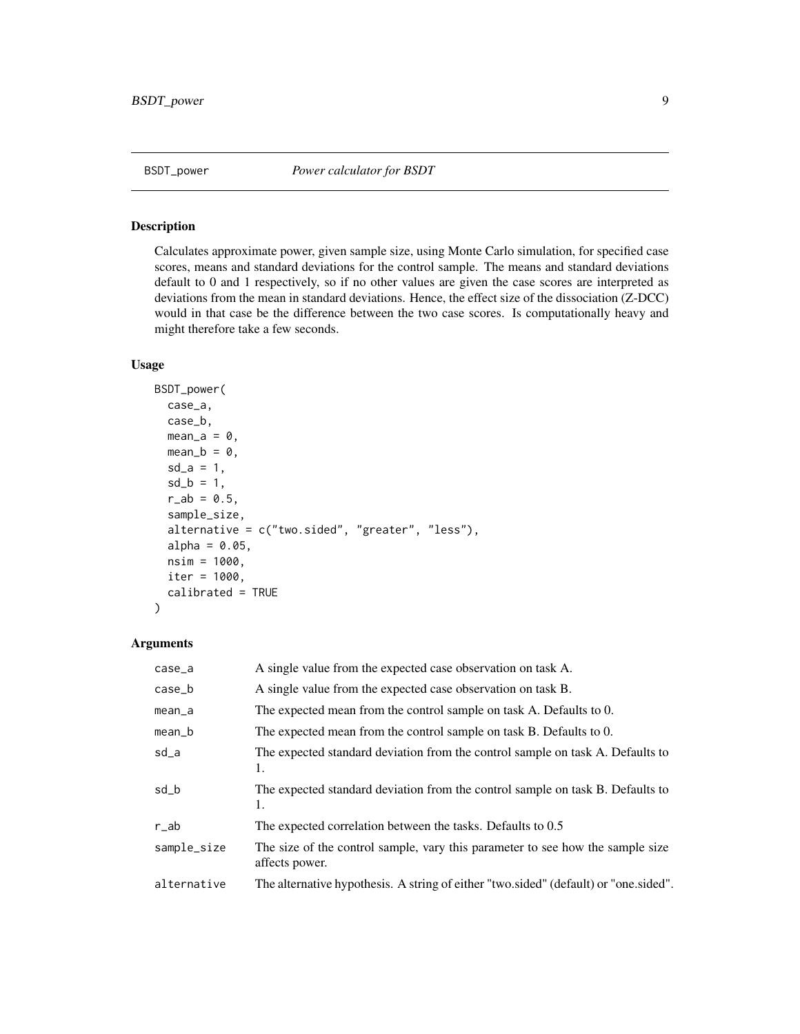<span id="page-8-1"></span><span id="page-8-0"></span>

### Description

Calculates approximate power, given sample size, using Monte Carlo simulation, for specified case scores, means and standard deviations for the control sample. The means and standard deviations default to 0 and 1 respectively, so if no other values are given the case scores are interpreted as deviations from the mean in standard deviations. Hence, the effect size of the dissociation (Z-DCC) would in that case be the difference between the two case scores. Is computationally heavy and might therefore take a few seconds.

### Usage

```
BSDT_power(
  case_a,
  case_b,
 mean_a = 0,
 mean_b = 0,
  sd_{-}a = 1,
  sd_b = 1,
  r_{ab} = 0.5,
  sample_size,
  alternative = c("two.sided", "greater", "less"),
  alpha = 0.05,
  nsim = 1000,
  iter = 1000,
  calibrated = TRUE
)
```
### Arguments

| $case_a$    | A single value from the expected case observation on task A.                                     |
|-------------|--------------------------------------------------------------------------------------------------|
| $case_b$    | A single value from the expected case observation on task B.                                     |
| $mean_a$    | The expected mean from the control sample on task A. Defaults to 0.                              |
| $mean_b$    | The expected mean from the control sample on task B. Defaults to 0.                              |
| sd_a        | The expected standard deviation from the control sample on task A. Defaults to<br>1.             |
| sd_b        | The expected standard deviation from the control sample on task B. Defaults to<br>1.             |
| $r$ _ab     | The expected correlation between the tasks. Defaults to 0.5                                      |
| sample_size | The size of the control sample, vary this parameter to see how the sample size<br>affects power. |
| alternative | The alternative hypothesis. A string of either "two.sided" (default) or "one.sided".             |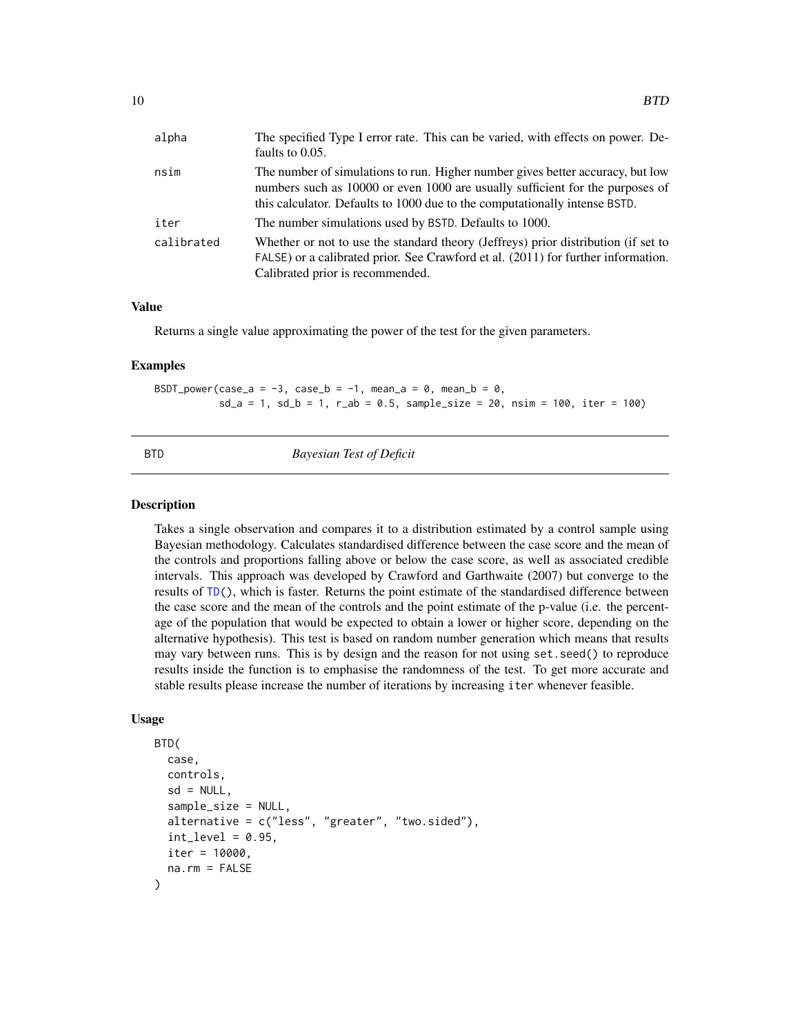<span id="page-9-0"></span>

| alpha      | The specified Type I error rate. This can be varied, with effects on power. De-<br>faults to 0.05.                                                                                                                                            |
|------------|-----------------------------------------------------------------------------------------------------------------------------------------------------------------------------------------------------------------------------------------------|
| nsim       | The number of simulations to run. Higher number gives better accuracy, but low<br>numbers such as 10000 or even 1000 are usually sufficient for the purposes of<br>this calculator. Defaults to 1000 due to the computationally intense BSTD. |
| iter       | The number simulations used by BSTD. Defaults to 1000.                                                                                                                                                                                        |
| calibrated | Whether or not to use the standard theory (Jeffreys) prior distribution (if set to<br>FALSE) or a calibrated prior. See Crawford et al. (2011) for further information.<br>Calibrated prior is recommended.                                   |

#### Value

Returns a single value approximating the power of the test for the given parameters.

#### Examples

BSDT\_power(case\_a = -3, case\_b = -1, mean\_a = 0, mean\_b = 0,  $sd_a = 1$ ,  $sd_b = 1$ ,  $r_{ab} = 0.5$ ,  $sample_size = 20$ ,  $nsim = 100$ , iter = 100)

<span id="page-9-1"></span>

BTD *Bayesian Test of Deficit*

#### Description

Takes a single observation and compares it to a distribution estimated by a control sample using Bayesian methodology. Calculates standardised difference between the case score and the mean of the controls and proportions falling above or below the case score, as well as associated credible intervals. This approach was developed by Crawford and Garthwaite (2007) but converge to the results of [TD\(](#page-21-1)), which is faster. Returns the point estimate of the standardised difference between the case score and the mean of the controls and the point estimate of the p-value (i.e. the percentage of the population that would be expected to obtain a lower or higher score, depending on the alternative hypothesis). This test is based on random number generation which means that results may vary between runs. This is by design and the reason for not using set.seed() to reproduce results inside the function is to emphasise the randomness of the test. To get more accurate and stable results please increase the number of iterations by increasing iter whenever feasible.

```
BTD(
  case,
  controls,
  sd = NULL,sample_size = NULL,
  alternative = c("less", "greater", "two.sided"),int\_level = 0.95,
  iter = 10000,
  na.rm = FALSE
)
```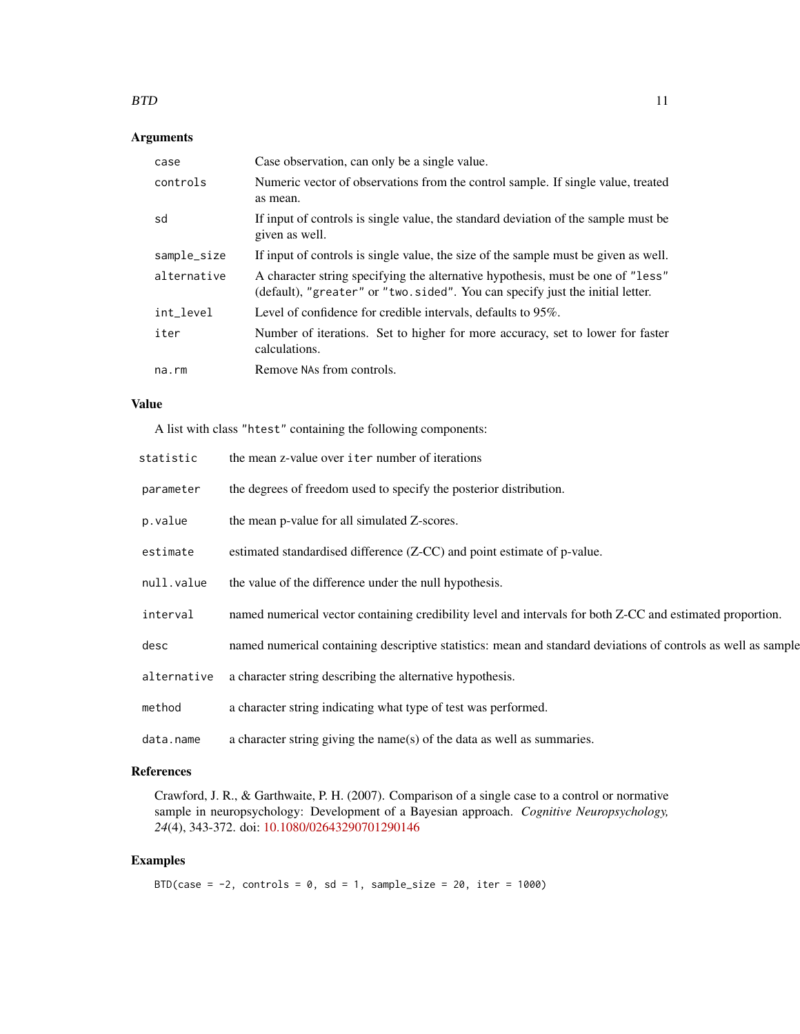### $BTD$  11

### Arguments

| case        | Case observation, can only be a single value.                                                                                                                    |
|-------------|------------------------------------------------------------------------------------------------------------------------------------------------------------------|
| controls    | Numeric vector of observations from the control sample. If single value, treated<br>as mean.                                                                     |
| sd          | If input of controls is single value, the standard deviation of the sample must be<br>given as well.                                                             |
| sample_size | If input of controls is single value, the size of the sample must be given as well.                                                                              |
| alternative | A character string specifying the alternative hypothesis, must be one of "less"<br>(default), "greater" or "two.sided". You can specify just the initial letter. |
| int_level   | Level of confidence for credible intervals, defaults to 95%.                                                                                                     |
| iter        | Number of iterations. Set to higher for more accuracy, set to lower for faster<br>calculations.                                                                  |
| na.rm       | Remove NAs from controls.                                                                                                                                        |

### Value

A list with class "htest" containing the following components:

| statistic   | the mean z-value over iter number of iterations                                                               |
|-------------|---------------------------------------------------------------------------------------------------------------|
| parameter   | the degrees of freedom used to specify the posterior distribution.                                            |
| p.value     | the mean p-value for all simulated Z-scores.                                                                  |
| estimate    | estimated standardised difference (Z-CC) and point estimate of p-value.                                       |
| null.value  | the value of the difference under the null hypothesis.                                                        |
| interval    | named numerical vector containing credibility level and intervals for both Z-CC and estimated proportion.     |
| desc        | named numerical containing descriptive statistics: mean and standard deviations of controls as well as sample |
| alternative | a character string describing the alternative hypothesis.                                                     |
| method      | a character string indicating what type of test was performed.                                                |
| data.name   | a character string giving the name(s) of the data as well as summaries.                                       |

### References

Crawford, J. R., & Garthwaite, P. H. (2007). Comparison of a single case to a control or normative sample in neuropsychology: Development of a Bayesian approach. *Cognitive Neuropsychology, 24*(4), 343-372. doi: [10.1080/02643290701290146](https://doi.org/10.1080/02643290701290146)

### Examples

```
BTD(case = -2, controls = 0, sd = 1, sample_size = 20, iter = 1000)
```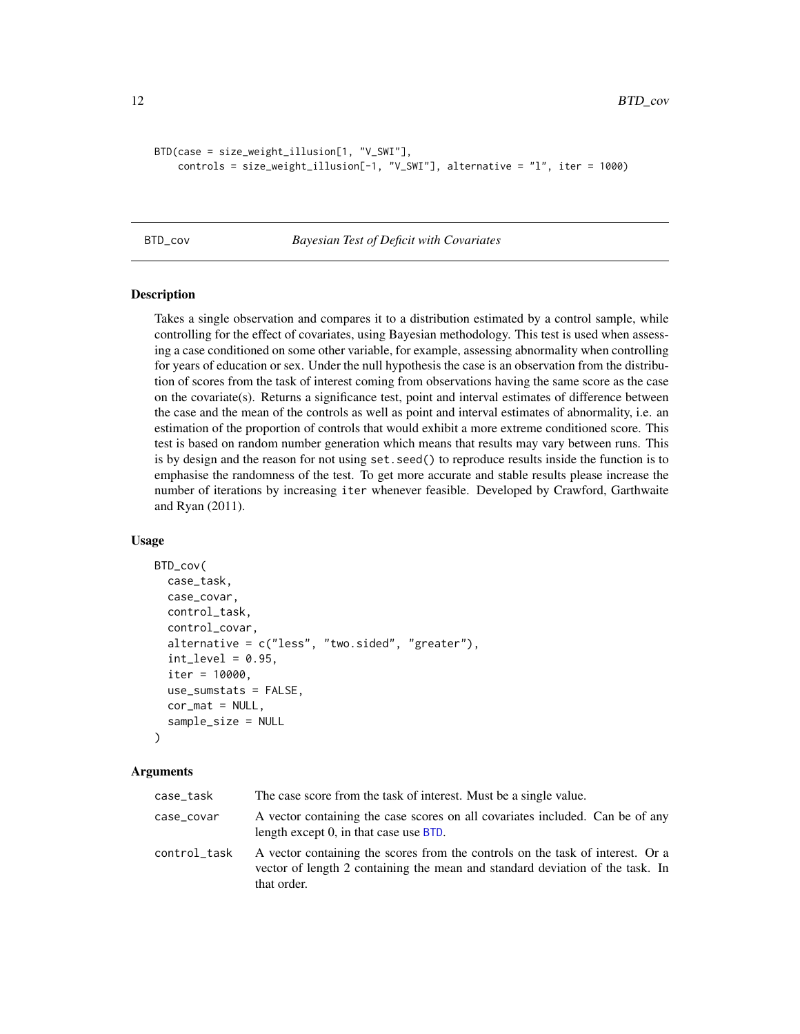```
BTD(case = size_weight_illusion[1, "V_SWI"],
    controls = size_weight_illusion[-1, "V_SWI"], alternative = "l", iter = 1000)
```
#### <span id="page-11-1"></span>BTD\_cov *Bayesian Test of Deficit with Covariates*

### Description

Takes a single observation and compares it to a distribution estimated by a control sample, while controlling for the effect of covariates, using Bayesian methodology. This test is used when assessing a case conditioned on some other variable, for example, assessing abnormality when controlling for years of education or sex. Under the null hypothesis the case is an observation from the distribution of scores from the task of interest coming from observations having the same score as the case on the covariate(s). Returns a significance test, point and interval estimates of difference between the case and the mean of the controls as well as point and interval estimates of abnormality, i.e. an estimation of the proportion of controls that would exhibit a more extreme conditioned score. This test is based on random number generation which means that results may vary between runs. This is by design and the reason for not using set.seed() to reproduce results inside the function is to emphasise the randomness of the test. To get more accurate and stable results please increase the number of iterations by increasing iter whenever feasible. Developed by Crawford, Garthwaite and Ryan (2011).

#### Usage

```
BTD_cov(
  case_task,
  case_covar,
  control_task,
  control_covar,
  alternative = c("less", "two.sided", "greater"),
  int\_level = 0.95,
  iter = 10000,use_sumstats = FALSE,
  cor\_mat = NULL,sample_size = NULL
)
```
#### Arguments

| case_task    | The case score from the task of interest. Must be a single value.                                                                                                              |
|--------------|--------------------------------------------------------------------------------------------------------------------------------------------------------------------------------|
| case_covar   | A vector containing the case scores on all covariates included. Can be of any<br>length except 0, in that case use BTD.                                                        |
| control_task | A vector containing the scores from the controls on the task of interest. Or a<br>vector of length 2 containing the mean and standard deviation of the task. In<br>that order. |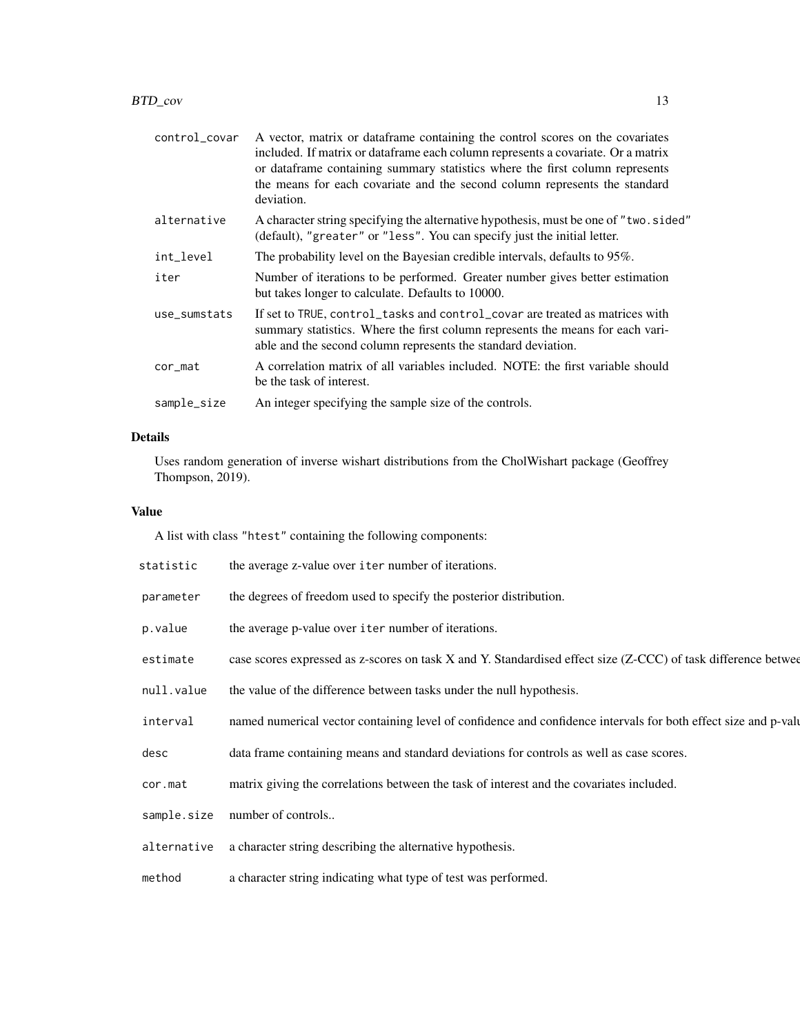| control_covar | A vector, matrix or data frame containing the control scores on the covariates<br>included. If matrix or dataframe each column represents a covariate. Or a matrix<br>or dataframe containing summary statistics where the first column represents<br>the means for each covariate and the second column represents the standard<br>deviation. |
|---------------|------------------------------------------------------------------------------------------------------------------------------------------------------------------------------------------------------------------------------------------------------------------------------------------------------------------------------------------------|
| alternative   | A character string specifying the alternative hypothesis, must be one of "two.sided"<br>(default), "greater" or "less". You can specify just the initial letter.                                                                                                                                                                               |
| int_level     | The probability level on the Bayesian credible intervals, defaults to 95%.                                                                                                                                                                                                                                                                     |
| iter          | Number of iterations to be performed. Greater number gives better estimation<br>but takes longer to calculate. Defaults to 10000.                                                                                                                                                                                                              |
| use_sumstats  | If set to TRUE, control_tasks and control_covar are treated as matrices with<br>summary statistics. Where the first column represents the means for each vari-<br>able and the second column represents the standard deviation.                                                                                                                |
| cor_mat       | A correlation matrix of all variables included. NOTE: the first variable should<br>be the task of interest.                                                                                                                                                                                                                                    |
| sample_size   | An integer specifying the sample size of the controls.                                                                                                                                                                                                                                                                                         |

### Details

Uses random generation of inverse wishart distributions from the CholWishart package (Geoffrey Thompson, 2019).

### Value

A list with class "htest" containing the following components:

| statistic | the average z-value over iter number of iterations. |
|-----------|-----------------------------------------------------|
|-----------|-----------------------------------------------------|

- parameter the degrees of freedom used to specify the posterior distribution.
- p.value the average p-value over iter number of iterations.
- estimate case scores expressed as z-scores on task X and Y. Standardised effect size (Z-CCC) of task difference betwee
- null.value the value of the difference between tasks under the null hypothesis.
- interval named numerical vector containing level of confidence and confidence intervals for both effect size and p-value.
- desc data frame containing means and standard deviations for controls as well as case scores.
- cor.mat matrix giving the correlations between the task of interest and the covariates included.
- sample.size number of controls..
- alternative a character string describing the alternative hypothesis.

method a character string indicating what type of test was performed.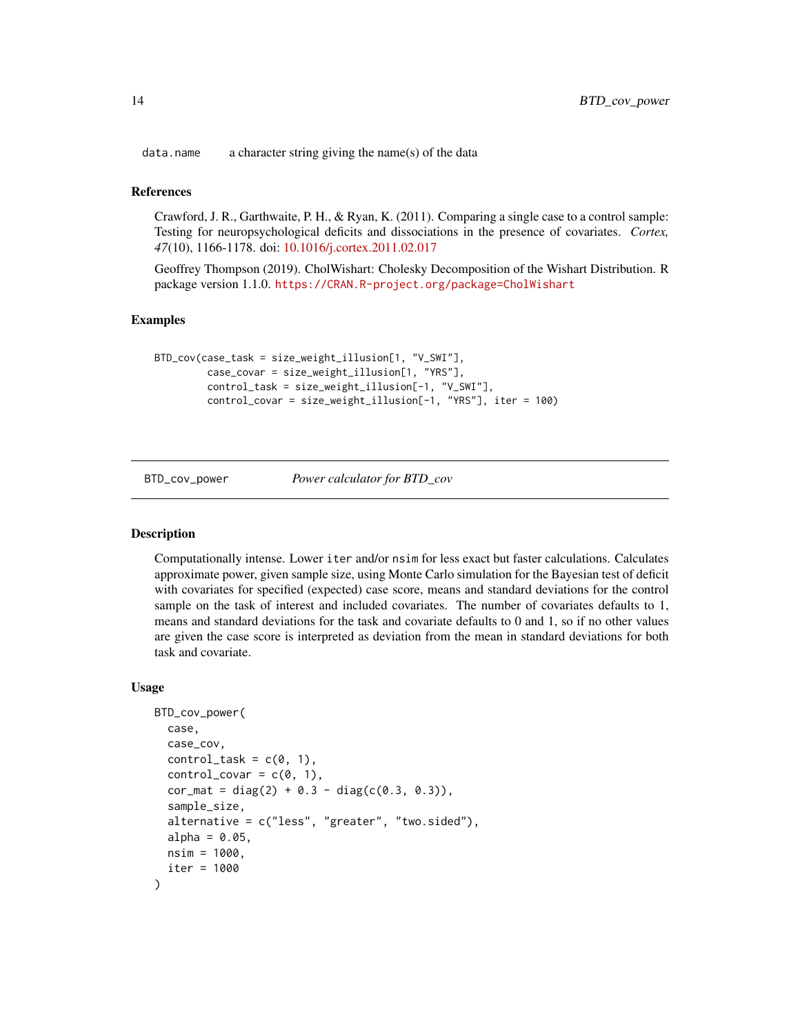<span id="page-13-0"></span>data.name a character string giving the name(s) of the data

#### References

Crawford, J. R., Garthwaite, P. H., & Ryan, K. (2011). Comparing a single case to a control sample: Testing for neuropsychological deficits and dissociations in the presence of covariates. *Cortex, 47*(10), 1166-1178. doi: [10.1016/j.cortex.2011.02.017](https://doi.org/10.1016/j.cortex.2011.02.017)

Geoffrey Thompson (2019). CholWishart: Cholesky Decomposition of the Wishart Distribution. R package version 1.1.0. <https://CRAN.R-project.org/package=CholWishart>

#### Examples

```
BTD_cov(case_task = size_weight_illusion[1, "V_SWI"],
         case_covar = size_weight_illusion[1, "YRS"],
         control_task = size_weight_illusion[-1, "V_SWI"],
         control_covar = size_weight_illusion[-1, "YRS"], iter = 100)
```
<span id="page-13-1"></span>BTD\_cov\_power *Power calculator for BTD\_cov*

#### Description

Computationally intense. Lower iter and/or nsim for less exact but faster calculations. Calculates approximate power, given sample size, using Monte Carlo simulation for the Bayesian test of deficit with covariates for specified (expected) case score, means and standard deviations for the control sample on the task of interest and included covariates. The number of covariates defaults to 1, means and standard deviations for the task and covariate defaults to 0 and 1, so if no other values are given the case score is interpreted as deviation from the mean in standard deviations for both task and covariate.

```
BTD_cov_power(
 case,
 case_cov,
 control\_task = c(0, 1),control_covar = c(0, 1),cor_mat = diag(2) + 0.3 - diag(c(0.3, 0.3)),sample_size,
  alternative = c("less", "greater", "two.sided"),alpha = 0.05,
 nsim = 1000,iter = 1000
)
```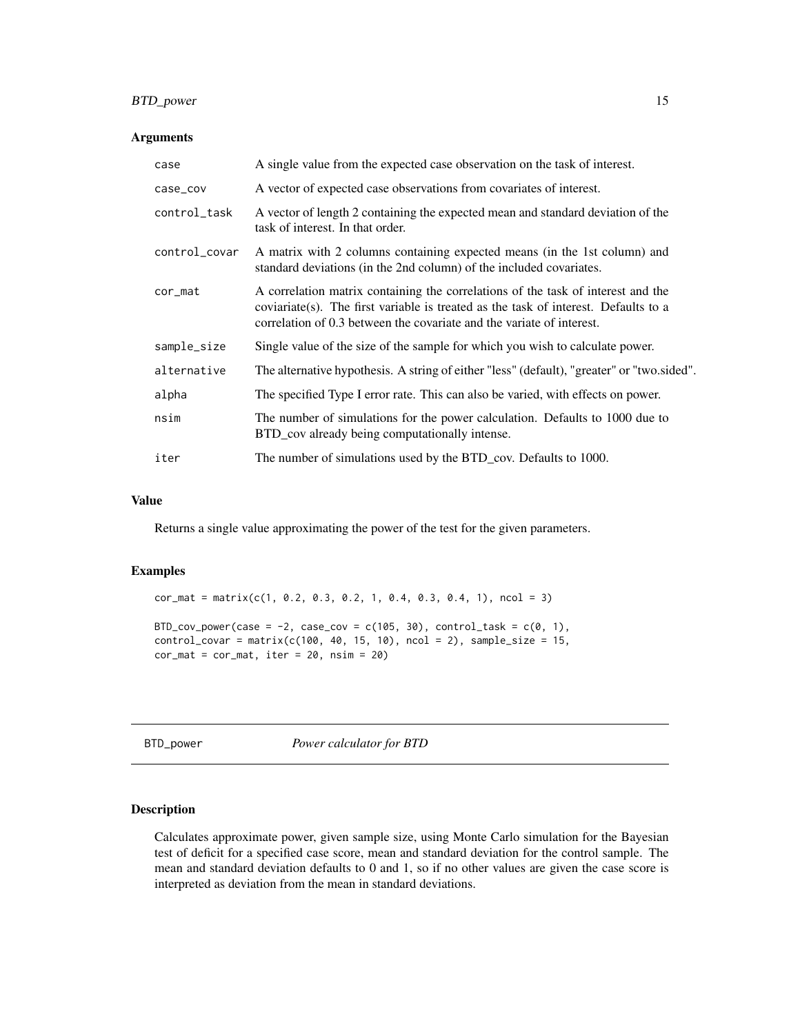### <span id="page-14-0"></span>BTD\_power 15

### Arguments

| case          | A single value from the expected case observation on the task of interest.                                                                                                                                                                       |
|---------------|--------------------------------------------------------------------------------------------------------------------------------------------------------------------------------------------------------------------------------------------------|
| case_cov      | A vector of expected case observations from covariates of interest.                                                                                                                                                                              |
| control_task  | A vector of length 2 containing the expected mean and standard deviation of the<br>task of interest. In that order.                                                                                                                              |
| control_covar | A matrix with 2 columns containing expected means (in the 1st column) and<br>standard deviations (in the 2nd column) of the included covariates.                                                                                                 |
| $cor_mat$     | A correlation matrix containing the correlations of the task of interest and the<br>coviariate(s). The first variable is treated as the task of interest. Defaults to a<br>correlation of 0.3 between the covariate and the variate of interest. |
| sample_size   | Single value of the size of the sample for which you wish to calculate power.                                                                                                                                                                    |
| alternative   | The alternative hypothesis. A string of either "less" (default), "greater" or "two.sided".                                                                                                                                                       |
| alpha         | The specified Type I error rate. This can also be varied, with effects on power.                                                                                                                                                                 |
| nsim          | The number of simulations for the power calculation. Defaults to 1000 due to<br>BTD_cov already being computationally intense.                                                                                                                   |
| iter          | The number of simulations used by the BTD_cov. Defaults to 1000.                                                                                                                                                                                 |

### Value

Returns a single value approximating the power of the test for the given parameters.

#### Examples

 $cor_matrix(c(1, 0.2, 0.3, 0.2, 1, 0.4, 0.3, 0.4, 1), ncol = 3)$ BTD\_cov\_power(case = -2, case\_cov = c(105, 30), control\_task =  $c(0, 1)$ ,  $control\_covar = matrix(c(100, 40, 15, 10), ncol = 2), sample\_size = 15,$  $cor_mat = cor_mat$ , iter = 20, nsim = 20)

<span id="page-14-1"></span>BTD\_power *Power calculator for BTD*

#### Description

Calculates approximate power, given sample size, using Monte Carlo simulation for the Bayesian test of deficit for a specified case score, mean and standard deviation for the control sample. The mean and standard deviation defaults to 0 and 1, so if no other values are given the case score is interpreted as deviation from the mean in standard deviations.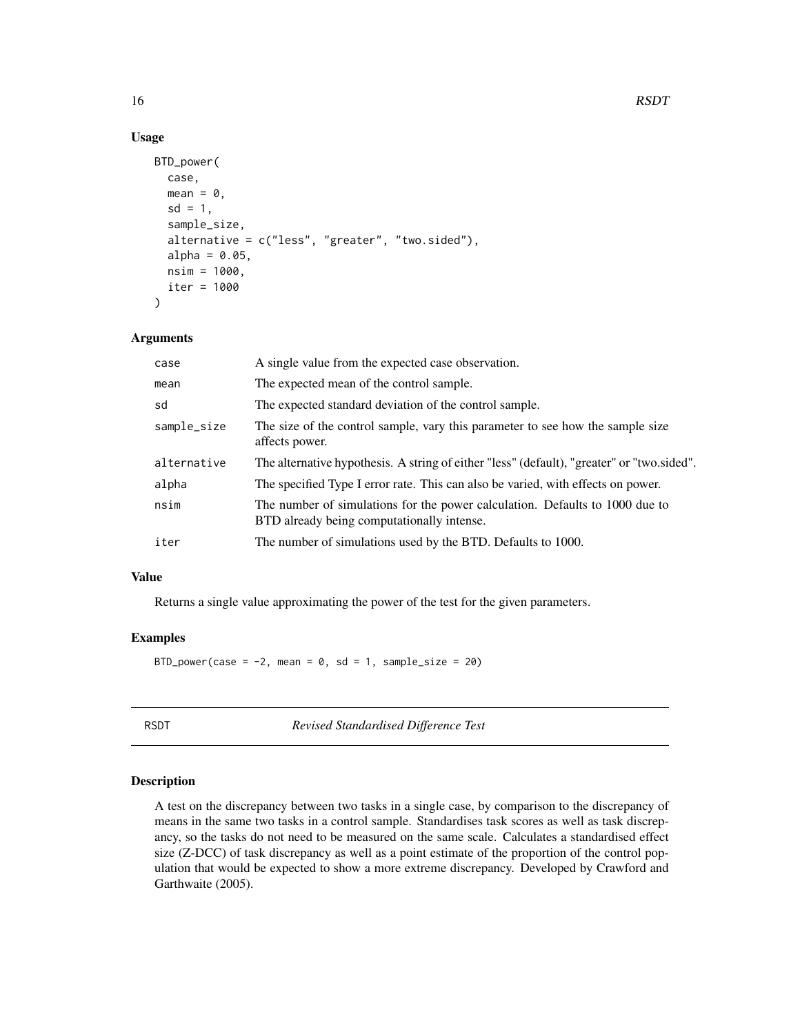### Usage

```
BTD_power(
  case,
  mean = 0,
  sd = 1,
  sample_size,
  alternative = c("less", "greater", "two.sided"),
  alpha = 0.05,
  nsim = 1000,iter = 1000
)
```
### Arguments

| case        | A single value from the expected case observation.                                                                         |
|-------------|----------------------------------------------------------------------------------------------------------------------------|
| mean        | The expected mean of the control sample.                                                                                   |
| sd          | The expected standard deviation of the control sample.                                                                     |
| sample_size | The size of the control sample, vary this parameter to see how the sample size<br>affects power.                           |
| alternative | The alternative hypothesis. A string of either "less" (default), "greater" or "two.sided".                                 |
| alpha       | The specified Type I error rate. This can also be varied, with effects on power.                                           |
| nsim        | The number of simulations for the power calculation. Defaults to 1000 due to<br>BTD already being computationally intense. |
| iter        | The number of simulations used by the BTD. Defaults to 1000.                                                               |
|             |                                                                                                                            |

### Value

Returns a single value approximating the power of the test for the given parameters.

### Examples

BTD\_power(case =  $-2$ , mean = 0, sd = 1, sample\_size = 20)

<span id="page-15-1"></span>RSDT *Revised Standardised Difference Test*

### Description

A test on the discrepancy between two tasks in a single case, by comparison to the discrepancy of means in the same two tasks in a control sample. Standardises task scores as well as task discrepancy, so the tasks do not need to be measured on the same scale. Calculates a standardised effect size (Z-DCC) of task discrepancy as well as a point estimate of the proportion of the control population that would be expected to show a more extreme discrepancy. Developed by Crawford and Garthwaite (2005).

<span id="page-15-0"></span>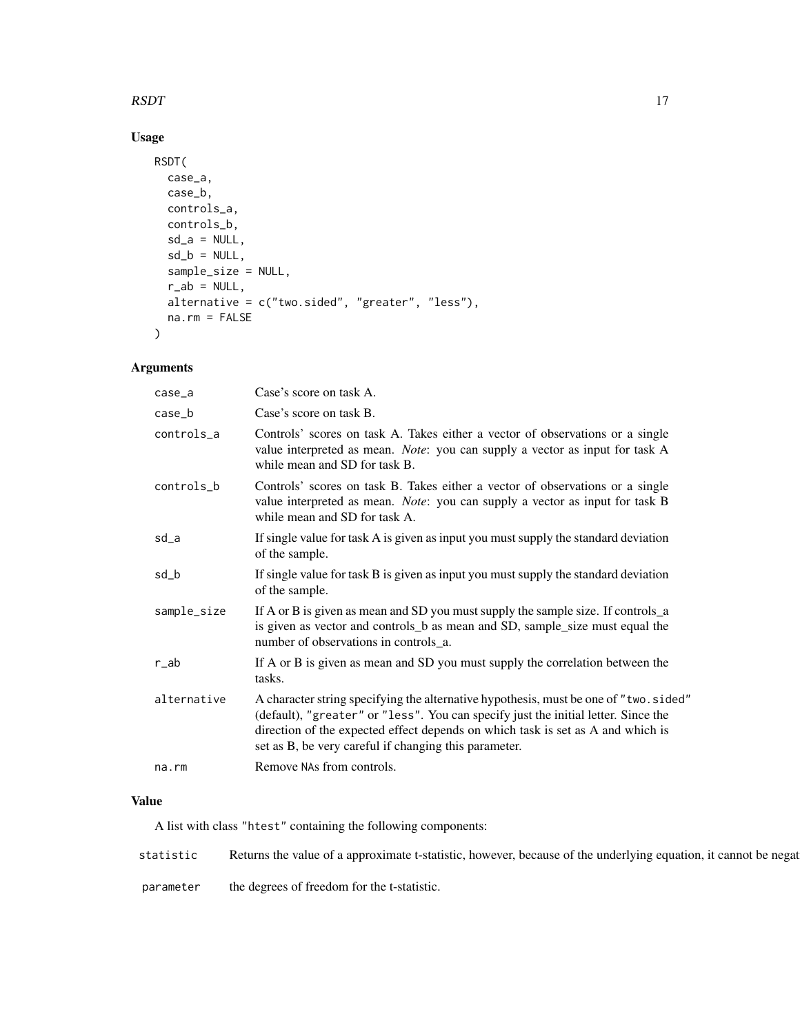### $RSDT$  and the contract of the contract of the contract of the contract of the contract of the contract of the contract of the contract of the contract of the contract of the contract of the contract of the contract of the

### Usage

```
RSDT(
 case_a,
 case_b,
 controls_a,
 controls_b,
 sd_a = NULL,sd_b = NULL,sample_size = NULL,
 r_ab = NULL,
 alternative = c("two.sided", "greater", "less"),
 na.rm = FALSE
)
```
### Arguments

| $case_a$    | Case's score on task A.                                                                                                                                                                                                                                                                                                |
|-------------|------------------------------------------------------------------------------------------------------------------------------------------------------------------------------------------------------------------------------------------------------------------------------------------------------------------------|
| $case_b$    | Case's score on task B.                                                                                                                                                                                                                                                                                                |
| controls_a  | Controls' scores on task A. Takes either a vector of observations or a single<br>value interpreted as mean. Note: you can supply a vector as input for task A<br>while mean and SD for task B.                                                                                                                         |
| controls_b  | Controls' scores on task B. Takes either a vector of observations or a single<br>value interpreted as mean. Note: you can supply a vector as input for task B<br>while mean and SD for task A.                                                                                                                         |
| sd_a        | If single value for task A is given as input you must supply the standard deviation<br>of the sample.                                                                                                                                                                                                                  |
| sd_b        | If single value for task B is given as input you must supply the standard deviation<br>of the sample.                                                                                                                                                                                                                  |
| sample_size | If A or B is given as mean and SD you must supply the sample size. If controls_a<br>is given as vector and controls_b as mean and SD, sample_size must equal the<br>number of observations in controls_a.                                                                                                              |
| $r$ _ab     | If A or B is given as mean and SD you must supply the correlation between the<br>tasks.                                                                                                                                                                                                                                |
| alternative | A character string specifying the alternative hypothesis, must be one of "two.sided"<br>(default), "greater" or "less". You can specify just the initial letter. Since the<br>direction of the expected effect depends on which task is set as A and which is<br>set as B, be very careful if changing this parameter. |
| na.rm       | Remove NAs from controls.                                                                                                                                                                                                                                                                                              |
|             |                                                                                                                                                                                                                                                                                                                        |

### Value

A list with class "htest" containing the following components:

| statistic | s the<br>a approximate *<br>value of<br>Returns | . because<br>t-statistic<br>howeve <sup>®</sup> | ` of th<br>underlying<br>equation. | it cannot<br>be negat |
|-----------|-------------------------------------------------|-------------------------------------------------|------------------------------------|-----------------------|
|           |                                                 |                                                 |                                    |                       |

parameter the degrees of freedom for the t-statistic.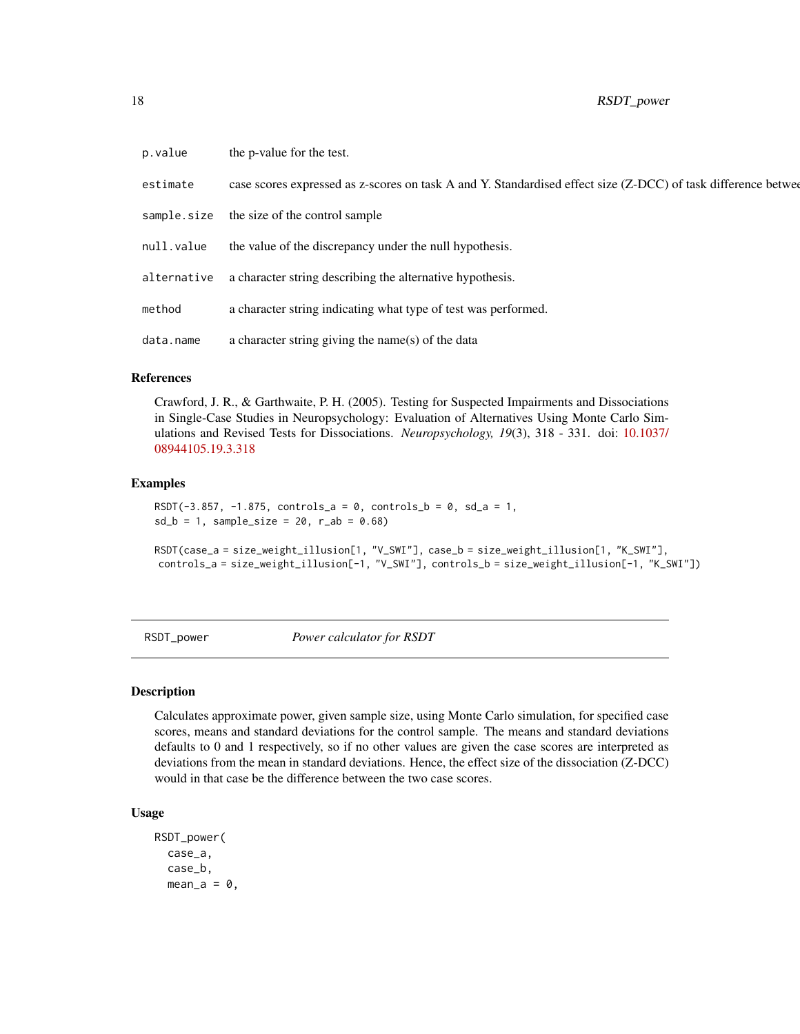<span id="page-17-0"></span>

| p.value     | the p-value for the test.                                                                                     |
|-------------|---------------------------------------------------------------------------------------------------------------|
| estimate    | case scores expressed as z-scores on task A and Y. Standardised effect size (Z-DCC) of task difference betwee |
| sample.size | the size of the control sample                                                                                |
| null.value  | the value of the discrepancy under the null hypothesis.                                                       |
| alternative | a character string describing the alternative hypothesis.                                                     |
| method      | a character string indicating what type of test was performed.                                                |
| data.name   | a character string giving the name(s) of the data                                                             |

### References

Crawford, J. R., & Garthwaite, P. H. (2005). Testing for Suspected Impairments and Dissociations in Single-Case Studies in Neuropsychology: Evaluation of Alternatives Using Monte Carlo Simulations and Revised Tests for Dissociations. *Neuropsychology, 19*(3), 318 - 331. doi: [10.1037/](https://doi.org/10.1037/0894-4105.19.3.318) [08944105.19.3.318](https://doi.org/10.1037/0894-4105.19.3.318)

### Examples

```
RSDT(-3.857, -1.875, controls_a = 0, controls_b = 0, sd_a = 1,
sd_b = 1, sample_size = 20, r_ab = 0.68)
```

```
RSDT(case_a = size_weight_illusion[1, "V_SWI"], case_b = size_weight_illusion[1, "K_SWI"],
controls_a = size_weight_illusion[-1, "V_SWI"], controls_b = size_weight_illusion[-1, "K_SWI"])
```
<span id="page-17-1"></span>RSDT\_power *Power calculator for RSDT*

#### Description

Calculates approximate power, given sample size, using Monte Carlo simulation, for specified case scores, means and standard deviations for the control sample. The means and standard deviations defaults to 0 and 1 respectively, so if no other values are given the case scores are interpreted as deviations from the mean in standard deviations. Hence, the effect size of the dissociation (Z-DCC) would in that case be the difference between the two case scores.

```
RSDT_power(
 case_a,
  case_b,
 mean_a = 0,
```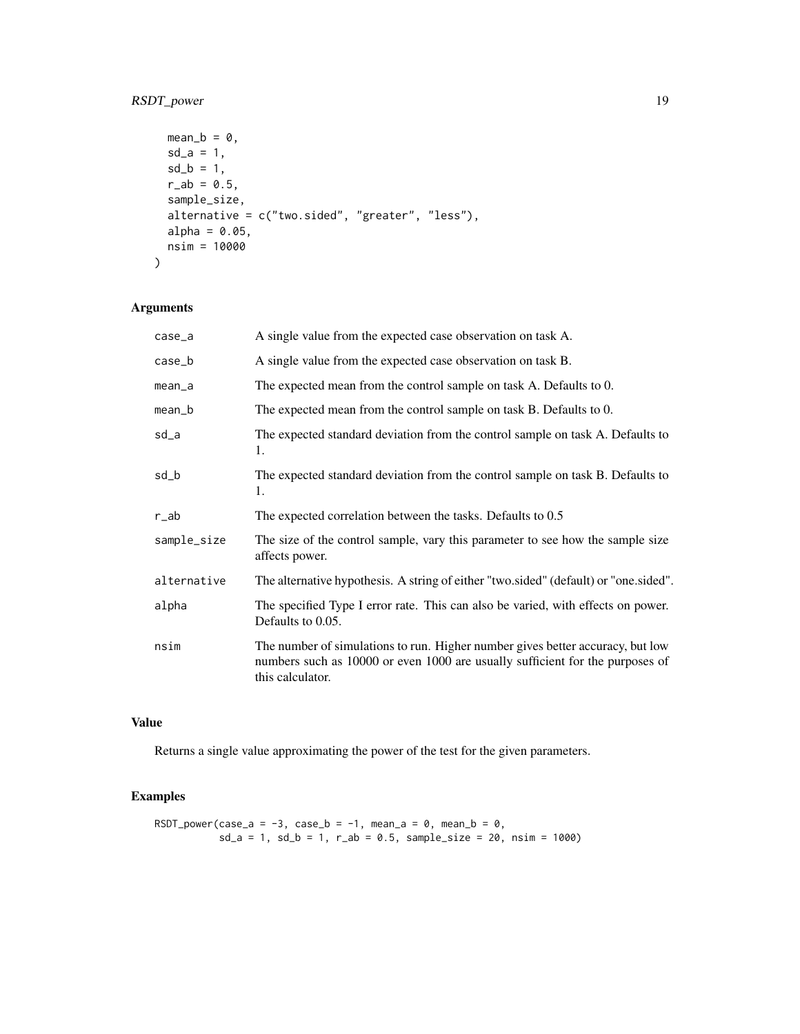### RSDT\_power 19

```
mean_b = 0,
 sd_a = 1,
 sd_b = 1,
 r_{ab} = 0.5,
 sample_size,
 alternative = c("two.sided", "greater", "less"),
 alpha = 0.05,
 nsim = 10000
)
```
### Arguments

| case_a      | A single value from the expected case observation on task A.                                                                                                                        |  |
|-------------|-------------------------------------------------------------------------------------------------------------------------------------------------------------------------------------|--|
| case_b      | A single value from the expected case observation on task B.                                                                                                                        |  |
| $mean_a$    | The expected mean from the control sample on task A. Defaults to 0.                                                                                                                 |  |
| mean_b      | The expected mean from the control sample on task B. Defaults to 0.                                                                                                                 |  |
| sd_a        | The expected standard deviation from the control sample on task A. Defaults to<br>1.                                                                                                |  |
| sd_b        | The expected standard deviation from the control sample on task B. Defaults to<br>1.                                                                                                |  |
| r_ab        | The expected correlation between the tasks. Defaults to 0.5                                                                                                                         |  |
| sample_size | The size of the control sample, vary this parameter to see how the sample size<br>affects power.                                                                                    |  |
| alternative | The alternative hypothesis. A string of either "two.sided" (default) or "one.sided".                                                                                                |  |
| alpha       | The specified Type I error rate. This can also be varied, with effects on power.<br>Defaults to 0.05.                                                                               |  |
| nsim        | The number of simulations to run. Higher number gives better accuracy, but low<br>numbers such as 10000 or even 1000 are usually sufficient for the purposes of<br>this calculator. |  |

### Value

Returns a single value approximating the power of the test for the given parameters.

### Examples

```
RSDT_power(case_a = -3, case_b = -1, mean_a = 0, mean_b = 0,
          sd_a = 1, sd_b = 1, r_{ab} = 0.5, sample_size = 20, nsim = 1000
```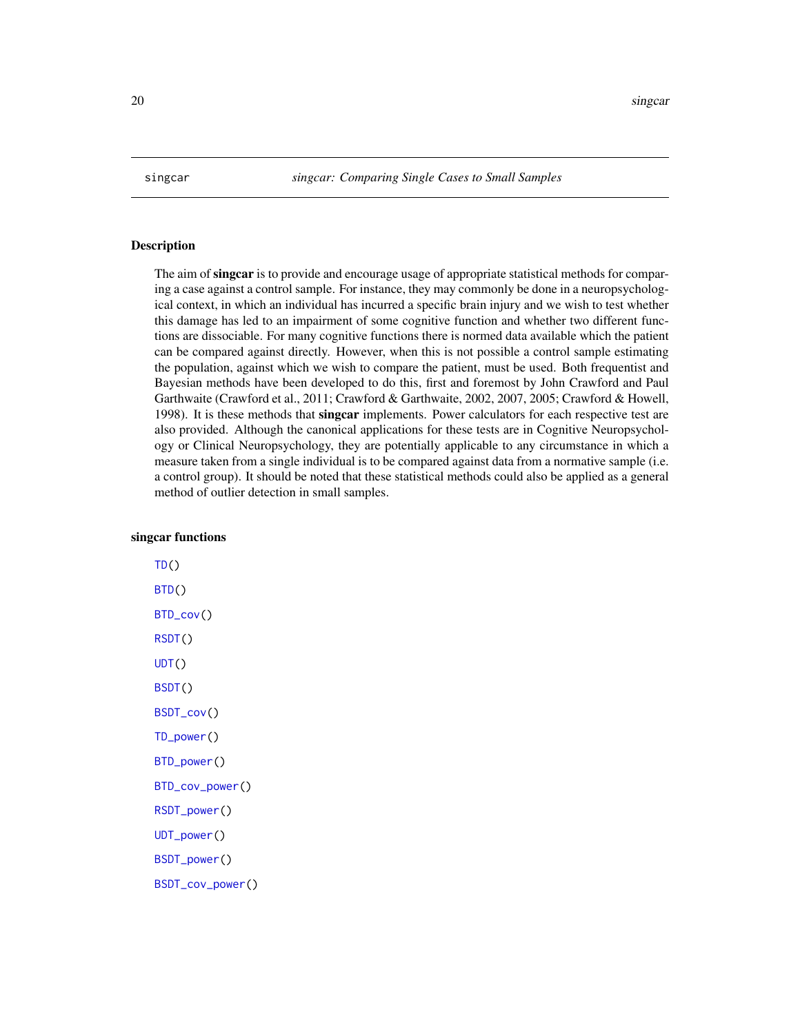<span id="page-19-0"></span>

### **Description**

The aim of singcar is to provide and encourage usage of appropriate statistical methods for comparing a case against a control sample. For instance, they may commonly be done in a neuropsychological context, in which an individual has incurred a specific brain injury and we wish to test whether this damage has led to an impairment of some cognitive function and whether two different functions are dissociable. For many cognitive functions there is normed data available which the patient can be compared against directly. However, when this is not possible a control sample estimating the population, against which we wish to compare the patient, must be used. Both frequentist and Bayesian methods have been developed to do this, first and foremost by John Crawford and Paul Garthwaite (Crawford et al., 2011; Crawford & Garthwaite, 2002, 2007, 2005; Crawford & Howell, 1998). It is these methods that singcar implements. Power calculators for each respective test are also provided. Although the canonical applications for these tests are in Cognitive Neuropsychology or Clinical Neuropsychology, they are potentially applicable to any circumstance in which a measure taken from a single individual is to be compared against data from a normative sample (i.e. a control group). It should be noted that these statistical methods could also be applied as a general method of outlier detection in small samples.

### singcar functions

 $TD()$  $TD()$ [BTD\(](#page-9-1)) [BTD\\_cov\(](#page-11-1)) [RSDT\(](#page-15-1)) [UDT\(](#page-24-1)) [BSDT\(](#page-1-1)) [BSDT\\_cov\(](#page-4-1)) [TD\\_power\(](#page-23-1)) [BTD\\_power\(](#page-14-1)) [BTD\\_cov\\_power\(](#page-13-1)) [RSDT\\_power\(](#page-17-1)) [UDT\\_power\(](#page-26-1)) [BSDT\\_power\(](#page-8-1))

[BSDT\\_cov\\_power\(](#page-6-1))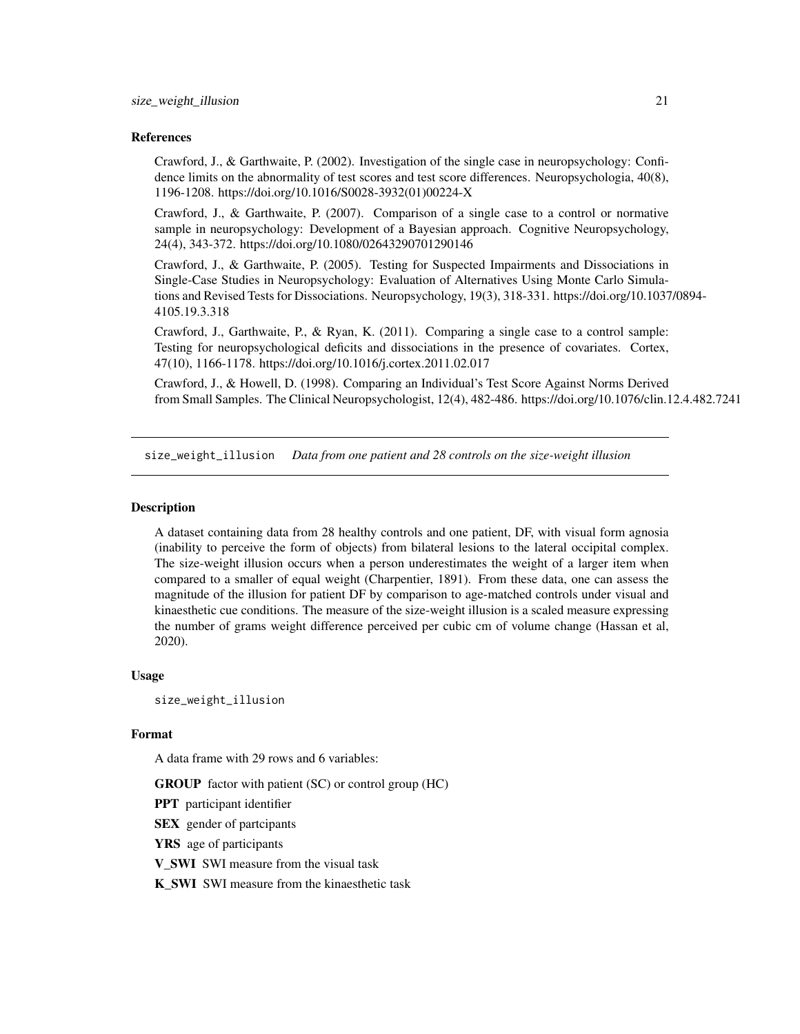### <span id="page-20-0"></span>References

Crawford, J., & Garthwaite, P. (2002). Investigation of the single case in neuropsychology: Confidence limits on the abnormality of test scores and test score differences. Neuropsychologia, 40(8), 1196-1208. https://doi.org/10.1016/S0028-3932(01)00224-X

Crawford, J., & Garthwaite, P. (2007). Comparison of a single case to a control or normative sample in neuropsychology: Development of a Bayesian approach. Cognitive Neuropsychology, 24(4), 343-372. https://doi.org/10.1080/02643290701290146

Crawford, J., & Garthwaite, P. (2005). Testing for Suspected Impairments and Dissociations in Single-Case Studies in Neuropsychology: Evaluation of Alternatives Using Monte Carlo Simulations and Revised Tests for Dissociations. Neuropsychology, 19(3), 318-331. https://doi.org/10.1037/0894- 4105.19.3.318

Crawford, J., Garthwaite, P., & Ryan, K. (2011). Comparing a single case to a control sample: Testing for neuropsychological deficits and dissociations in the presence of covariates. Cortex, 47(10), 1166-1178. https://doi.org/10.1016/j.cortex.2011.02.017

Crawford, J., & Howell, D. (1998). Comparing an Individual's Test Score Against Norms Derived from Small Samples. The Clinical Neuropsychologist, 12(4), 482-486. https://doi.org/10.1076/clin.12.4.482.7241

size\_weight\_illusion *Data from one patient and 28 controls on the size-weight illusion*

#### **Description**

A dataset containing data from 28 healthy controls and one patient, DF, with visual form agnosia (inability to perceive the form of objects) from bilateral lesions to the lateral occipital complex. The size-weight illusion occurs when a person underestimates the weight of a larger item when compared to a smaller of equal weight (Charpentier, 1891). From these data, one can assess the magnitude of the illusion for patient DF by comparison to age-matched controls under visual and kinaesthetic cue conditions. The measure of the size-weight illusion is a scaled measure expressing the number of grams weight difference perceived per cubic cm of volume change (Hassan et al, 2020).

#### Usage

size\_weight\_illusion

#### Format

A data frame with 29 rows and 6 variables:

GROUP factor with patient (SC) or control group (HC)

PPT participant identifier

**SEX** gender of partcipants

YRS age of participants

V\_SWI SWI measure from the visual task

K\_SWI SWI measure from the kinaesthetic task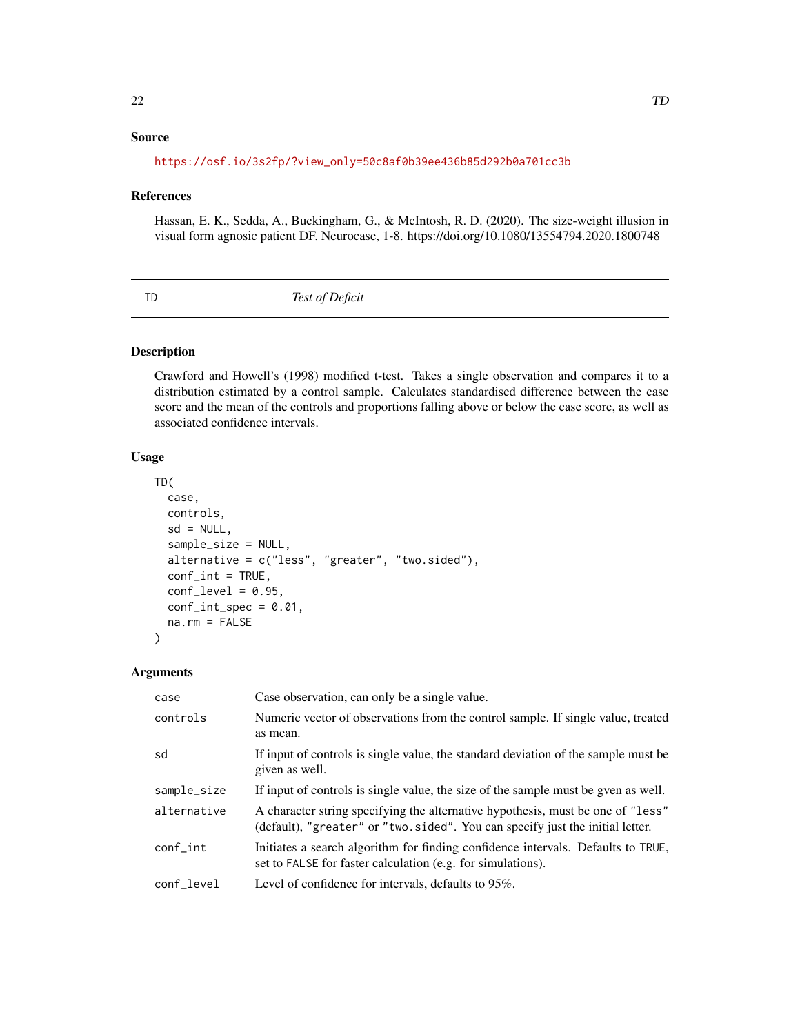### <span id="page-21-0"></span>Source

### [https://osf.io/3s2fp/?view\\_only=50c8af0b39ee436b85d292b0a701cc3b](https://osf.io/3s2fp/?view_only=50c8af0b39ee436b85d292b0a701cc3b)

#### References

Hassan, E. K., Sedda, A., Buckingham, G., & McIntosh, R. D. (2020). The size-weight illusion in visual form agnosic patient DF. Neurocase, 1-8. https://doi.org/10.1080/13554794.2020.1800748

<span id="page-21-1"></span>

TD *Test of Deficit*

### Description

Crawford and Howell's (1998) modified t-test. Takes a single observation and compares it to a distribution estimated by a control sample. Calculates standardised difference between the case score and the mean of the controls and proportions falling above or below the case score, as well as associated confidence intervals.

### Usage

```
TD(
  case,
  controls,
  sd = NULL,sample_size = NULL,
  alternative = c("less", "greater", "two.sided"),
  conf\_int = TRUE,conf\_level = 0.95,
  conf\_int\_spec = 0.01,
  na.rm = FALSE
\mathcal{L}
```
### Arguments

| case        | Case observation, can only be a single value.                                                                                                                    |  |
|-------------|------------------------------------------------------------------------------------------------------------------------------------------------------------------|--|
| controls    | Numeric vector of observations from the control sample. If single value, treated<br>as mean.                                                                     |  |
| sd          | If input of controls is single value, the standard deviation of the sample must be<br>given as well.                                                             |  |
| sample_size | If input of controls is single value, the size of the sample must be gyen as well.                                                                               |  |
| alternative | A character string specifying the alternative hypothesis, must be one of "less"<br>(default), "greater" or "two.sided". You can specify just the initial letter. |  |
| $conf_$     | Initiates a search algorithm for finding confidence intervals. Defaults to TRUE,<br>set to FALSE for faster calculation (e.g. for simulations).                  |  |
| conf level  | Level of confidence for intervals, defaults to 95%.                                                                                                              |  |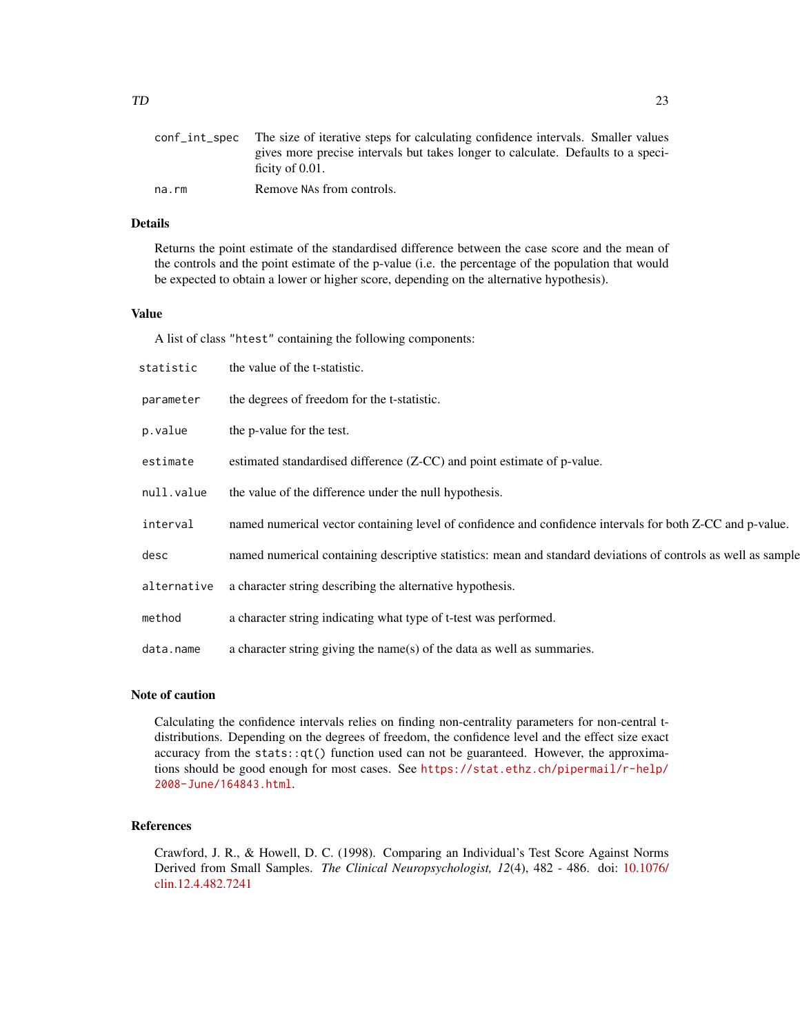| ficity of $0.01$ .<br>Remove NAs from controls.<br>na.rm | conf int spec The size of iterative steps for calculating confidence intervals. Smaller values |
|----------------------------------------------------------|------------------------------------------------------------------------------------------------|
|                                                          | gives more precise intervals but takes longer to calculate. Defaults to a speci-               |
|                                                          |                                                                                                |
|                                                          |                                                                                                |

### Details

Returns the point estimate of the standardised difference between the case score and the mean of the controls and the point estimate of the p-value (i.e. the percentage of the population that would be expected to obtain a lower or higher score, depending on the alternative hypothesis).

#### Value

A list of class "htest" containing the following components:

| statistic   | the value of the t-statistic.                                                                                 |
|-------------|---------------------------------------------------------------------------------------------------------------|
| parameter   | the degrees of freedom for the t-statistic.                                                                   |
| p.value     | the p-value for the test.                                                                                     |
| estimate    | estimated standardised difference (Z-CC) and point estimate of p-value.                                       |
| null.value  | the value of the difference under the null hypothesis.                                                        |
| interval    | named numerical vector containing level of confidence and confidence intervals for both Z-CC and p-value.     |
| desc        | named numerical containing descriptive statistics: mean and standard deviations of controls as well as sample |
| alternative | a character string describing the alternative hypothesis.                                                     |
| method      | a character string indicating what type of t-test was performed.                                              |
| data.name   | a character string giving the name(s) of the data as well as summaries.                                       |

### Note of caution

Calculating the confidence intervals relies on finding non-centrality parameters for non-central tdistributions. Depending on the degrees of freedom, the confidence level and the effect size exact accuracy from the stats::qt() function used can not be guaranteed. However, the approximations should be good enough for most cases. See [https://stat.ethz.ch/pipermail/r-help/](https://stat.ethz.ch/pipermail/r-help/2008-June/164843.html) [2008-June/164843.html](https://stat.ethz.ch/pipermail/r-help/2008-June/164843.html).

### References

Crawford, J. R., & Howell, D. C. (1998). Comparing an Individual's Test Score Against Norms Derived from Small Samples. *The Clinical Neuropsychologist, 12*(4), 482 - 486. doi: [10.1076/](https://doi.org/10.1076/clin.12.4.482.7241) [clin.12.4.482.7241](https://doi.org/10.1076/clin.12.4.482.7241)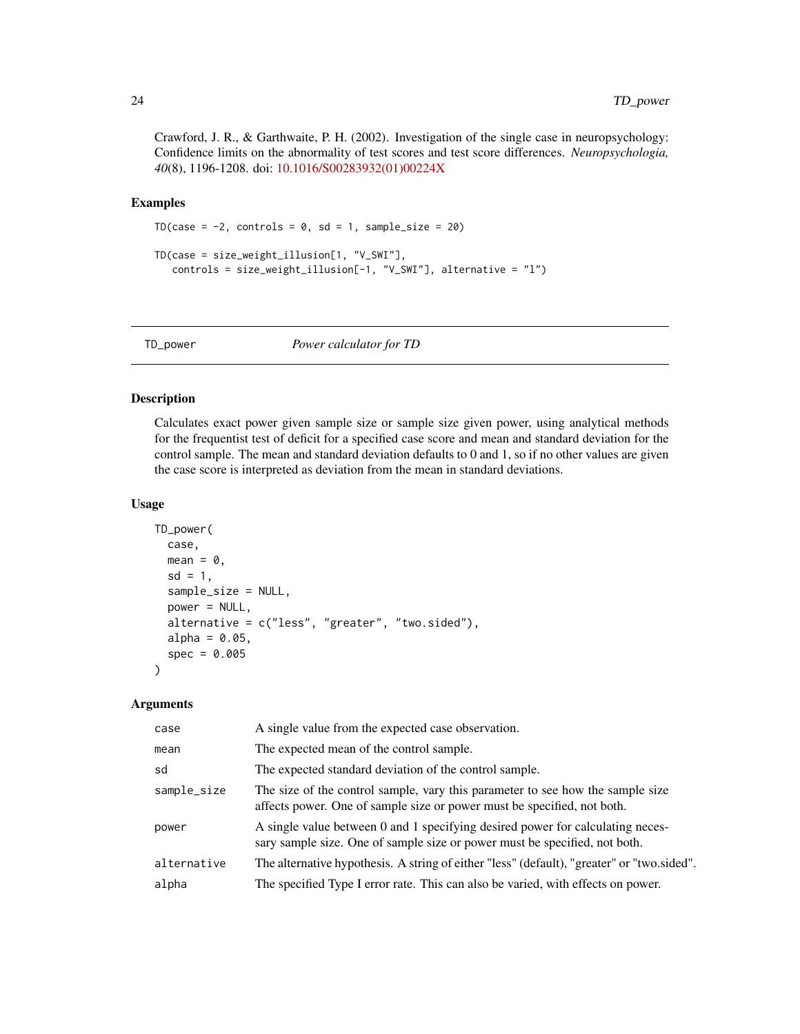<span id="page-23-0"></span>Crawford, J. R., & Garthwaite, P. H. (2002). Investigation of the single case in neuropsychology: Confidence limits on the abnormality of test scores and test score differences. *Neuropsychologia, 40*(8), 1196-1208. doi: [10.1016/S00283932\(01\)00224X](https://doi.org/10.1016/S0028-3932(01)00224-X)

#### Examples

```
TD(case = -2, controls = 0, sd = 1, sample_size = 20)
TD(case = size_weight_illusion[1, "V_SWI"],
   controls = size_weight_illusion[-1, "V_SWI"], alternative = "l")
```
<span id="page-23-1"></span>TD\_power *Power calculator for TD*

### Description

Calculates exact power given sample size or sample size given power, using analytical methods for the frequentist test of deficit for a specified case score and mean and standard deviation for the control sample. The mean and standard deviation defaults to 0 and 1, so if no other values are given the case score is interpreted as deviation from the mean in standard deviations.

#### Usage

```
TD_power(
  case,
  mean = 0,
  sd = 1,
  sample_size = NULL,
  power = NULL,
  alternative = c("less", "greater", "two.sided"),
  alpha = 0.05,
  spec = 0.005
```
### Arguments

)

| case        | A single value from the expected case observation.                                                                                                           |  |
|-------------|--------------------------------------------------------------------------------------------------------------------------------------------------------------|--|
| mean        | The expected mean of the control sample.                                                                                                                     |  |
| sd          | The expected standard deviation of the control sample.                                                                                                       |  |
| sample_size | The size of the control sample, vary this parameter to see how the sample size<br>affects power. One of sample size or power must be specified, not both.    |  |
| power       | A single value between 0 and 1 specifying desired power for calculating neces-<br>sary sample size. One of sample size or power must be specified, not both. |  |
| alternative | The alternative hypothesis. A string of either "less" (default), "greater" or "two.sided".                                                                   |  |
| alpha       | The specified Type I error rate. This can also be varied, with effects on power.                                                                             |  |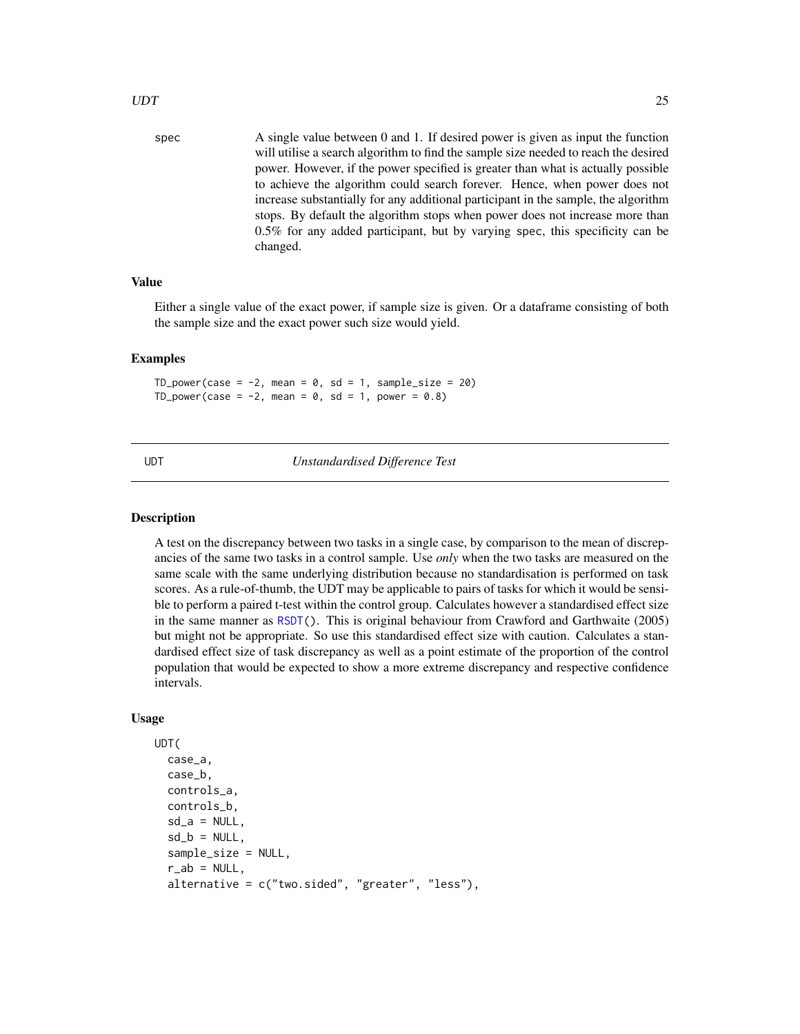<span id="page-24-0"></span>spec A single value between 0 and 1. If desired power is given as input the function will utilise a search algorithm to find the sample size needed to reach the desired power. However, if the power specified is greater than what is actually possible to achieve the algorithm could search forever. Hence, when power does not increase substantially for any additional participant in the sample, the algorithm stops. By default the algorithm stops when power does not increase more than 0.5% for any added participant, but by varying spec, this specificity can be changed.

### Value

Either a single value of the exact power, if sample size is given. Or a dataframe consisting of both the sample size and the exact power such size would yield.

#### Examples

TD\_power(case =  $-2$ , mean = 0, sd = 1, sample\_size = 20) TD\_power(case =  $-2$ , mean = 0, sd = 1, power = 0.8)

<span id="page-24-1"></span>UDT *Unstandardised Difference Test*

#### Description

A test on the discrepancy between two tasks in a single case, by comparison to the mean of discrepancies of the same two tasks in a control sample. Use *only* when the two tasks are measured on the same scale with the same underlying distribution because no standardisation is performed on task scores. As a rule-of-thumb, the UDT may be applicable to pairs of tasks for which it would be sensible to perform a paired t-test within the control group. Calculates however a standardised effect size in the same manner as [RSDT\(](#page-15-1)). This is original behaviour from Crawford and Garthwaite (2005) but might not be appropriate. So use this standardised effect size with caution. Calculates a standardised effect size of task discrepancy as well as a point estimate of the proportion of the control population that would be expected to show a more extreme discrepancy and respective confidence intervals.

```
UDT(
  case_a,
  case_b,
  controls_a,
  controls_b,
  sd_a = NULL,
  sd_b = NULL,
  sample_size = NULL,
  r<sub>-</sub>ab = NULL,alternative = c("two.sided", "greater", "less"),
```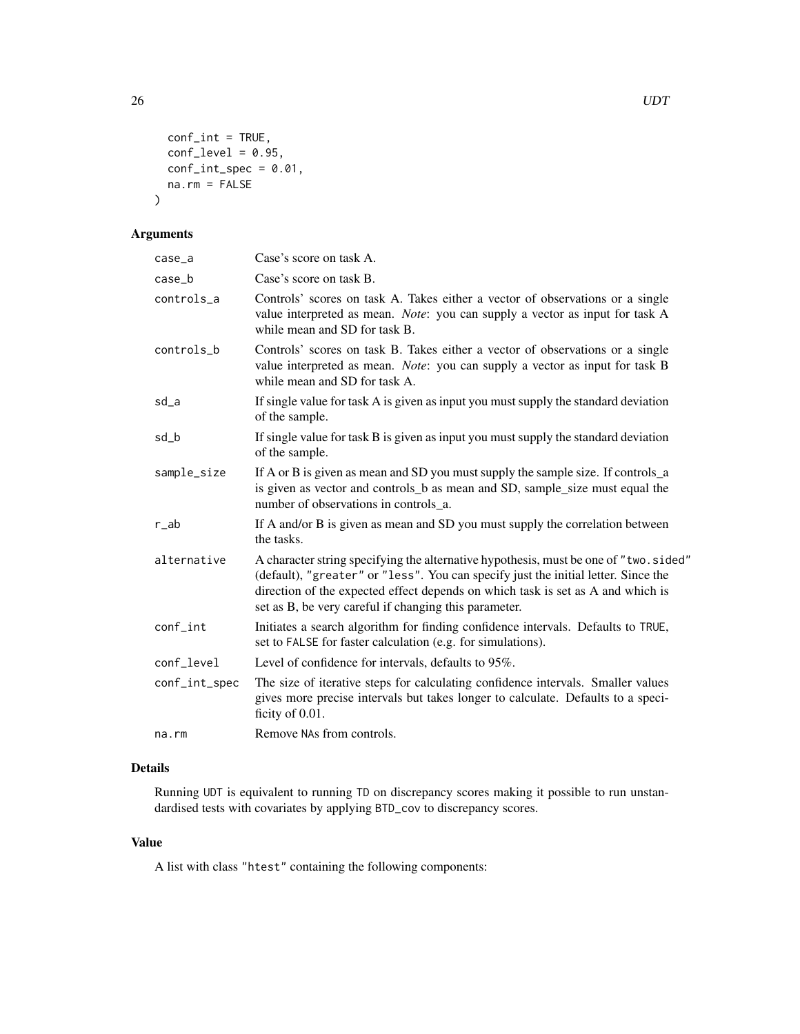```
conf\_int = TRUE,conf\_level = 0.95,
 conf\_int\_spec = 0.01,na.rm = FALSE
)
```
### Arguments

| case_a        | Case's score on task A.                                                                                                                                                                                                                                                                                                |  |  |
|---------------|------------------------------------------------------------------------------------------------------------------------------------------------------------------------------------------------------------------------------------------------------------------------------------------------------------------------|--|--|
| $case_b$      | Case's score on task B.                                                                                                                                                                                                                                                                                                |  |  |
| controls_a    | Controls' scores on task A. Takes either a vector of observations or a single<br>value interpreted as mean. Note: you can supply a vector as input for task A<br>while mean and SD for task B.                                                                                                                         |  |  |
| controls_b    | Controls' scores on task B. Takes either a vector of observations or a single<br>value interpreted as mean. Note: you can supply a vector as input for task B<br>while mean and SD for task A.                                                                                                                         |  |  |
| sd_a          | If single value for task A is given as input you must supply the standard deviation<br>of the sample.                                                                                                                                                                                                                  |  |  |
| sd_b          | If single value for task B is given as input you must supply the standard deviation<br>of the sample.                                                                                                                                                                                                                  |  |  |
| sample_size   | If A or B is given as mean and SD you must supply the sample size. If controls_a<br>is given as vector and controls_b as mean and SD, sample_size must equal the<br>number of observations in controls_a.                                                                                                              |  |  |
| r_ab          | If A and/or B is given as mean and SD you must supply the correlation between<br>the tasks.                                                                                                                                                                                                                            |  |  |
| alternative   | A character string specifying the alternative hypothesis, must be one of "two.sided"<br>(default), "greater" or "less". You can specify just the initial letter. Since the<br>direction of the expected effect depends on which task is set as A and which is<br>set as B, be very careful if changing this parameter. |  |  |
| conf_int      | Initiates a search algorithm for finding confidence intervals. Defaults to TRUE,<br>set to FALSE for faster calculation (e.g. for simulations).                                                                                                                                                                        |  |  |
| conf_level    | Level of confidence for intervals, defaults to 95%.                                                                                                                                                                                                                                                                    |  |  |
| conf_int_spec | The size of iterative steps for calculating confidence intervals. Smaller values<br>gives more precise intervals but takes longer to calculate. Defaults to a speci-<br>ficity of 0.01.                                                                                                                                |  |  |
| na.rm         | Remove NAs from controls.                                                                                                                                                                                                                                                                                              |  |  |

### Details

Running UDT is equivalent to running TD on discrepancy scores making it possible to run unstandardised tests with covariates by applying BTD\_cov to discrepancy scores.

### Value

A list with class "htest" containing the following components: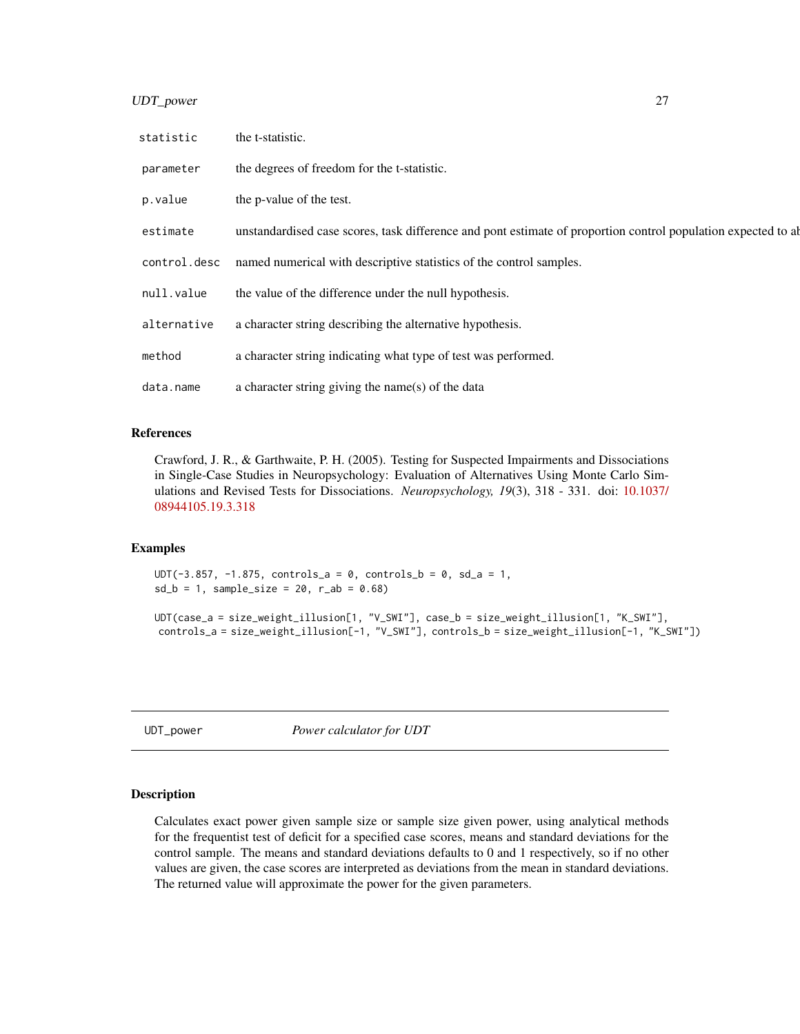<span id="page-26-0"></span>UDT\_power 27

| statistic    | the t-statistic.                                                                                              |
|--------------|---------------------------------------------------------------------------------------------------------------|
| parameter    | the degrees of freedom for the t-statistic.                                                                   |
| p.value      | the p-value of the test.                                                                                      |
| estimate     | unstandardised case scores, task difference and pont estimate of proportion control population expected to ab |
| control.desc | named numerical with descriptive statistics of the control samples.                                           |
| null.value   | the value of the difference under the null hypothesis.                                                        |
| alternative  | a character string describing the alternative hypothesis.                                                     |
| method       | a character string indicating what type of test was performed.                                                |
| data.name    | a character string giving the name(s) of the data                                                             |

### References

Crawford, J. R., & Garthwaite, P. H. (2005). Testing for Suspected Impairments and Dissociations in Single-Case Studies in Neuropsychology: Evaluation of Alternatives Using Monte Carlo Simulations and Revised Tests for Dissociations. *Neuropsychology, 19*(3), 318 - 331. doi: [10.1037/](https://doi.org/10.1037/0894-4105.19.3.318) [08944105.19.3.318](https://doi.org/10.1037/0894-4105.19.3.318)

#### Examples

UDT( $-3.857$ ,  $-1.875$ , controls\_a = 0, controls\_b = 0, sd\_a = 1,  $sd_b = 1$ , sample\_size = 20, r\_ab = 0.68)

```
UDT(case_a = size_weight_illusion[1, "V_SWI"], case_b = size_weight_illusion[1, "K_SWI"],
controls_a = size_weight_illusion[-1, "V_SWI"], controls_b = size_weight_illusion[-1, "K_SWI"])
```
<span id="page-26-1"></span>UDT\_power *Power calculator for UDT*

### Description

Calculates exact power given sample size or sample size given power, using analytical methods for the frequentist test of deficit for a specified case scores, means and standard deviations for the control sample. The means and standard deviations defaults to 0 and 1 respectively, so if no other values are given, the case scores are interpreted as deviations from the mean in standard deviations. The returned value will approximate the power for the given parameters.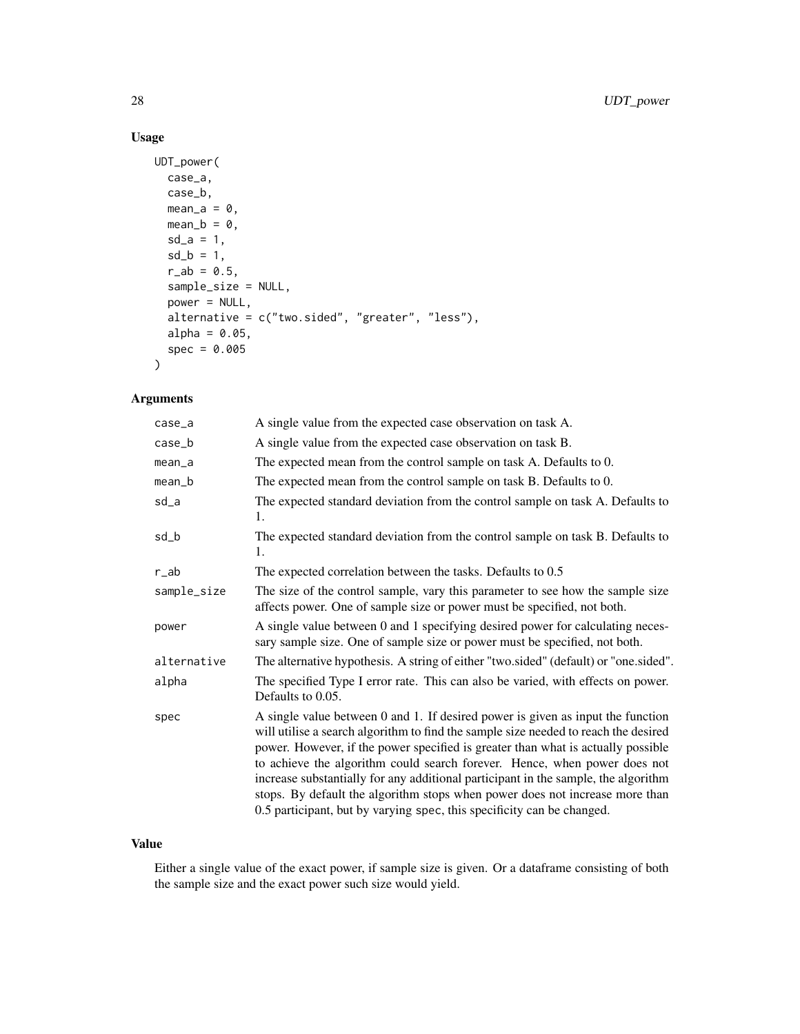### Usage

```
UDT_power(
 case_a,
 case_b,
 mean_a = 0,
 mean_b = 0,
 sd_a = 1,
 sd_b = 1,
 r_{ab} = 0.5,
 sample_size = NULL,
 power = NULL,
  alternative = c("two.sided", "greater", "less"),
 alpha = 0.05,
  spec = 0.005
)
```
### Arguments

| A single value from the expected case observation on task A.                                                                                                                                                                                                                                                                                                                                                                                                                                                  |  |  |
|---------------------------------------------------------------------------------------------------------------------------------------------------------------------------------------------------------------------------------------------------------------------------------------------------------------------------------------------------------------------------------------------------------------------------------------------------------------------------------------------------------------|--|--|
| A single value from the expected case observation on task B.                                                                                                                                                                                                                                                                                                                                                                                                                                                  |  |  |
| The expected mean from the control sample on task A. Defaults to 0.                                                                                                                                                                                                                                                                                                                                                                                                                                           |  |  |
| The expected mean from the control sample on task B. Defaults to 0.                                                                                                                                                                                                                                                                                                                                                                                                                                           |  |  |
| The expected standard deviation from the control sample on task A. Defaults to<br>1.                                                                                                                                                                                                                                                                                                                                                                                                                          |  |  |
| The expected standard deviation from the control sample on task B. Defaults to<br>1.                                                                                                                                                                                                                                                                                                                                                                                                                          |  |  |
| The expected correlation between the tasks. Defaults to 0.5                                                                                                                                                                                                                                                                                                                                                                                                                                                   |  |  |
| The size of the control sample, vary this parameter to see how the sample size<br>affects power. One of sample size or power must be specified, not both.                                                                                                                                                                                                                                                                                                                                                     |  |  |
| A single value between 0 and 1 specifying desired power for calculating neces-<br>sary sample size. One of sample size or power must be specified, not both.                                                                                                                                                                                                                                                                                                                                                  |  |  |
| The alternative hypothesis. A string of either "two.sided" (default) or "one.sided".                                                                                                                                                                                                                                                                                                                                                                                                                          |  |  |
| The specified Type I error rate. This can also be varied, with effects on power.<br>Defaults to 0.05.                                                                                                                                                                                                                                                                                                                                                                                                         |  |  |
| A single value between 0 and 1. If desired power is given as input the function<br>will utilise a search algorithm to find the sample size needed to reach the desired<br>power. However, if the power specified is greater than what is actually possible<br>to achieve the algorithm could search forever. Hence, when power does not<br>increase substantially for any additional participant in the sample, the algorithm<br>stops. By default the algorithm stops when power does not increase more than |  |  |
|                                                                                                                                                                                                                                                                                                                                                                                                                                                                                                               |  |  |

### Value

Either a single value of the exact power, if sample size is given. Or a dataframe consisting of both the sample size and the exact power such size would yield.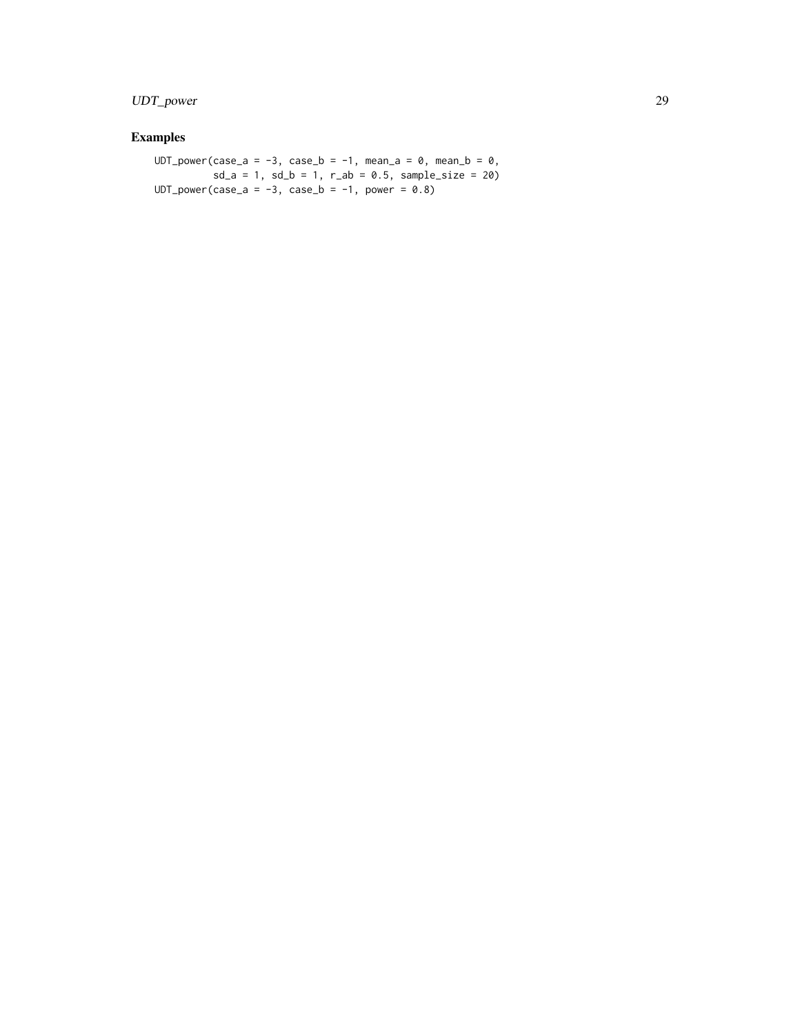### UDT\_power 29

## Examples

UDT\_power(case\_a = -3, case\_b = -1, mean\_a =  $\theta$ , mean\_b =  $\theta$ ,  $sd_a = 1$ ,  $sd_b = 1$ ,  $r_{ab} = 0.5$ ,  $sample_size = 20$  $UDT\_power(case_a = -3, case_b = -1, power = 0.8)$